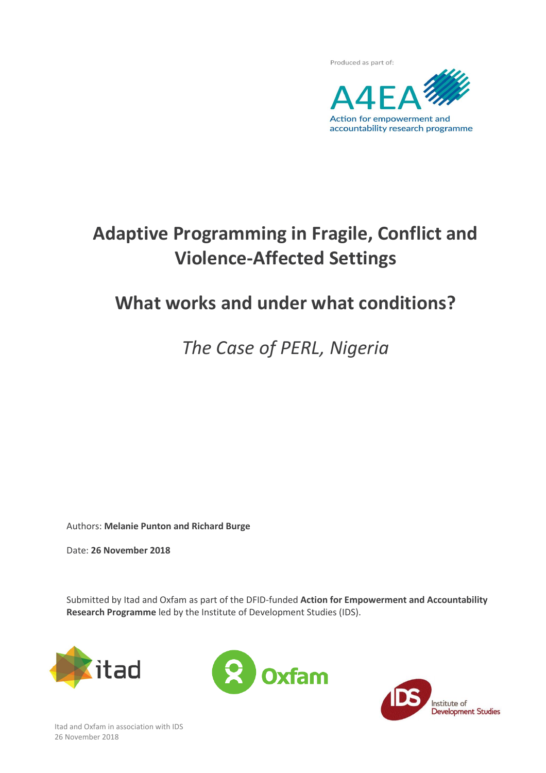

# **Adaptive Programming in Fragile, Conflict and Violence-Affected Settings**

# **What works and under what conditions?**

*The Case of PERL, Nigeria*

Authors: **Melanie Punton and Richard Burge**

Date: **26 November 2018**

Submitted by Itad and Oxfam as part of the DFID-funded **Action for Empowerment and Accountability Research Programme** led by the Institute of Development Studies (IDS).







Itad and Oxfam in association with IDS 26 November 2018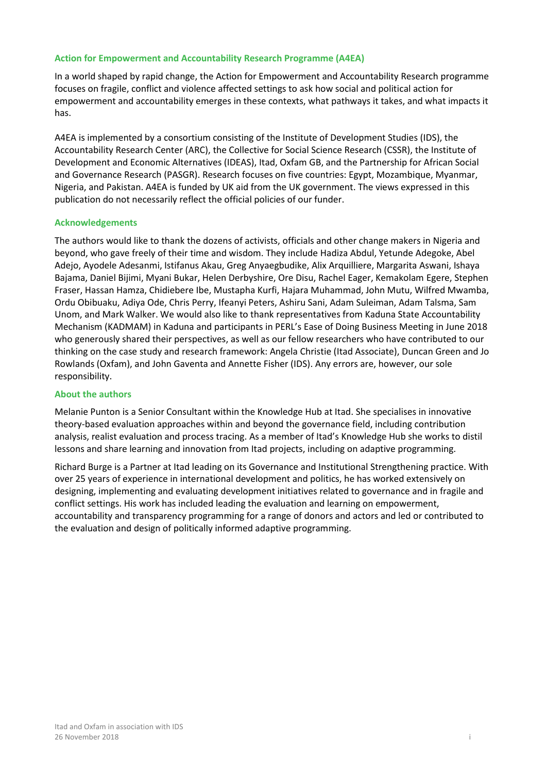## **Action for Empowerment and Accountability Research Programme (A4EA)**

In a world shaped by rapid change, the Action for Empowerment and Accountability Research programme focuses on fragile, conflict and violence affected settings to ask how social and political action for empowerment and accountability emerges in these contexts, what pathways it takes, and what impacts it has.

A4EA is implemented by a consortium consisting of the Institute of Development Studies (IDS), the Accountability Research Center (ARC), the Collective for Social Science Research (CSSR), the Institute of Development and Economic Alternatives (IDEAS), Itad, Oxfam GB, and the Partnership for African Social and Governance Research (PASGR). Research focuses on five countries: Egypt, Mozambique, Myanmar, Nigeria, and Pakistan. A4EA is funded by UK aid from the UK government. The views expressed in this publication do not necessarily reflect the official policies of our funder.

## **Acknowledgements**

The authors would like to thank the dozens of activists, officials and other change makers in Nigeria and beyond, who gave freely of their time and wisdom. They include Hadiza Abdul, Yetunde Adegoke, Abel Adejo, Ayodele Adesanmi, Istifanus Akau, Greg Anyaegbudike, Alix Arquilliere, Margarita Aswani, Ishaya Bajama, Daniel Bijimi, Myani Bukar, Helen Derbyshire, Ore Disu, Rachel Eager, Kemakolam Egere, Stephen Fraser, Hassan Hamza, Chidiebere Ibe, Mustapha Kurfi, Hajara Muhammad, John Mutu, Wilfred Mwamba, Ordu Obibuaku, Adiya Ode, Chris Perry, Ifeanyi Peters, Ashiru Sani, Adam Suleiman, Adam Talsma, Sam Unom, and Mark Walker. We would also like to thank representatives from Kaduna State Accountability Mechanism (KADMAM) in Kaduna and participants in PERL's Ease of Doing Business Meeting in June 2018 who generously shared their perspectives, as well as our fellow researchers who have contributed to our thinking on the case study and research framework: Angela Christie (Itad Associate), Duncan Green and Jo Rowlands (Oxfam), and John Gaventa and Annette Fisher (IDS). Any errors are, however, our sole responsibility.

## **About the authors**

Melanie Punton is a Senior Consultant within the Knowledge Hub at Itad. She specialises in innovative theory-based evaluation approaches within and beyond the governance field, including contribution analysis, realist evaluation and process tracing. As a member of Itad's Knowledge Hub she works to distil lessons and share learning and innovation from Itad projects, including on adaptive programming.

Richard Burge is a Partner at Itad leading on its Governance and Institutional Strengthening practice. With over 25 years of experience in international development and politics, he has worked extensively on designing, implementing and evaluating development initiatives related to governance and in fragile and conflict settings. His work has included leading the evaluation and learning on empowerment, accountability and transparency programming for a range of donors and actors and led or contributed to the evaluation and design of politically informed adaptive programming.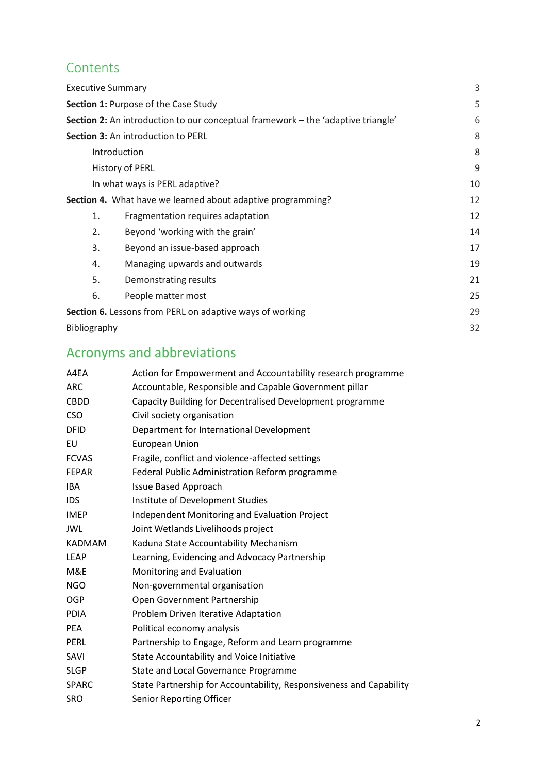# **Contents**

| <b>Executive Summary</b>                                                         |                                                             | 3  |
|----------------------------------------------------------------------------------|-------------------------------------------------------------|----|
| Section 1: Purpose of the Case Study                                             |                                                             | 5  |
| Section 2: An introduction to our conceptual framework - the 'adaptive triangle' |                                                             | 6  |
| Section 3: An introduction to PERL                                               |                                                             | 8  |
| Introduction                                                                     |                                                             | 8  |
| History of PERL                                                                  |                                                             | 9  |
| In what ways is PERL adaptive?                                                   |                                                             | 10 |
|                                                                                  | Section 4. What have we learned about adaptive programming? | 12 |
| 1.                                                                               | Fragmentation requires adaptation                           | 12 |
| 2.                                                                               | Beyond 'working with the grain'                             | 14 |
| 3.                                                                               | Beyond an issue-based approach                              | 17 |
| 4.                                                                               | Managing upwards and outwards                               | 19 |
| 5.                                                                               | Demonstrating results                                       | 21 |
| 6.                                                                               | People matter most                                          | 25 |
| <b>Section 6.</b> Lessons from PERL on adaptive ways of working                  |                                                             | 29 |
| Bibliography                                                                     |                                                             | 32 |

# Acronyms and abbreviations

| A4EA          | Action for Empowerment and Accountability research programme        |  |
|---------------|---------------------------------------------------------------------|--|
| <b>ARC</b>    | Accountable, Responsible and Capable Government pillar              |  |
| <b>CBDD</b>   | Capacity Building for Decentralised Development programme           |  |
| <b>CSO</b>    | Civil society organisation                                          |  |
| <b>DFID</b>   | Department for International Development                            |  |
| EU            | <b>European Union</b>                                               |  |
| <b>FCVAS</b>  | Fragile, conflict and violence-affected settings                    |  |
| <b>FEPAR</b>  | Federal Public Administration Reform programme                      |  |
| <b>IBA</b>    | <b>Issue Based Approach</b>                                         |  |
| <b>IDS</b>    | Institute of Development Studies                                    |  |
| <b>IMEP</b>   | Independent Monitoring and Evaluation Project                       |  |
| <b>JWL</b>    | Joint Wetlands Livelihoods project                                  |  |
| <b>KADMAM</b> | Kaduna State Accountability Mechanism                               |  |
| <b>LEAP</b>   | Learning, Evidencing and Advocacy Partnership                       |  |
| M&E           | Monitoring and Evaluation                                           |  |
| <b>NGO</b>    | Non-governmental organisation                                       |  |
| <b>OGP</b>    | Open Government Partnership                                         |  |
| <b>PDIA</b>   | Problem Driven Iterative Adaptation                                 |  |
| <b>PEA</b>    | Political economy analysis                                          |  |
| <b>PERL</b>   | Partnership to Engage, Reform and Learn programme                   |  |
| SAVI          | <b>State Accountability and Voice Initiative</b>                    |  |
| <b>SLGP</b>   | State and Local Governance Programme                                |  |
| <b>SPARC</b>  | State Partnership for Accountability, Responsiveness and Capability |  |
| <b>SRO</b>    | <b>Senior Reporting Officer</b>                                     |  |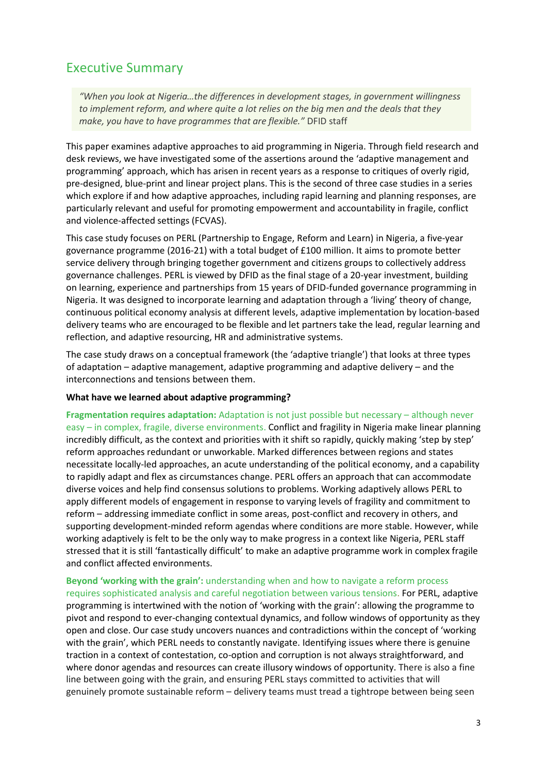## <span id="page-3-0"></span>Executive Summary

*"When you look at Nigeria…the differences in development stages, in government willingness to implement reform, and where quite a lot relies on the big men and the deals that they make, you have to have programmes that are flexible."* DFID staff

This paper examines adaptive approaches to aid programming in Nigeria. Through field research and desk reviews, we have investigated some of the assertions around the 'adaptive management and programming' approach, which has arisen in recent years as a response to critiques of overly rigid, pre-designed, blue-print and linear project plans. This is the second of three case studies in a series which explore if and how adaptive approaches, including rapid learning and planning responses, are particularly relevant and useful for promoting empowerment and accountability in fragile, conflict and violence-affected settings (FCVAS).

This case study focuses on PERL (Partnership to Engage, Reform and Learn) in Nigeria, a five-year governance programme (2016-21) with a total budget of £100 million. It aims to promote better service delivery through bringing together government and citizens groups to collectively address governance challenges. PERL is viewed by DFID as the final stage of a 20-year investment, building on learning, experience and partnerships from 15 years of DFID-funded governance programming in Nigeria. It was designed to incorporate learning and adaptation through a 'living' theory of change, continuous political economy analysis at different levels, adaptive implementation by location-based delivery teams who are encouraged to be flexible and let partners take the lead, regular learning and reflection, and adaptive resourcing, HR and administrative systems.

The case study draws on a conceptual framework (the 'adaptive triangle') that looks at three types of adaptation – adaptive management, adaptive programming and adaptive delivery – and the interconnections and tensions between them.

## **What have we learned about adaptive programming?**

**Fragmentation requires adaptation:** Adaptation is not just possible but necessary – although never easy – in complex, fragile, diverse environments. Conflict and fragility in Nigeria make linear planning incredibly difficult, as the context and priorities with it shift so rapidly, quickly making 'step by step' reform approaches redundant or unworkable. Marked differences between regions and states necessitate locally-led approaches, an acute understanding of the political economy, and a capability to rapidly adapt and flex as circumstances change. PERL offers an approach that can accommodate diverse voices and help find consensus solutions to problems. Working adaptively allows PERL to apply different models of engagement in response to varying levels of fragility and commitment to reform – addressing immediate conflict in some areas, post-conflict and recovery in others, and supporting development-minded reform agendas where conditions are more stable. However, while working adaptively is felt to be the only way to make progress in a context like Nigeria, PERL staff stressed that it is still 'fantastically difficult' to make an adaptive programme work in complex fragile and conflict affected environments.

## **Beyond 'working with the grain':** understanding when and how to navigate a reform process

requires sophisticated analysis and careful negotiation between various tensions. For PERL, adaptive programming is intertwined with the notion of 'working with the grain': allowing the programme to pivot and respond to ever-changing contextual dynamics, and follow windows of opportunity as they open and close. Our case study uncovers nuances and contradictions within the concept of 'working with the grain', which PERL needs to constantly navigate. Identifying issues where there is genuine traction in a context of contestation, co-option and corruption is not always straightforward, and where donor agendas and resources can create illusory windows of opportunity. There is also a fine line between going with the grain, and ensuring PERL stays committed to activities that will genuinely promote sustainable reform – delivery teams must tread a tightrope between being seen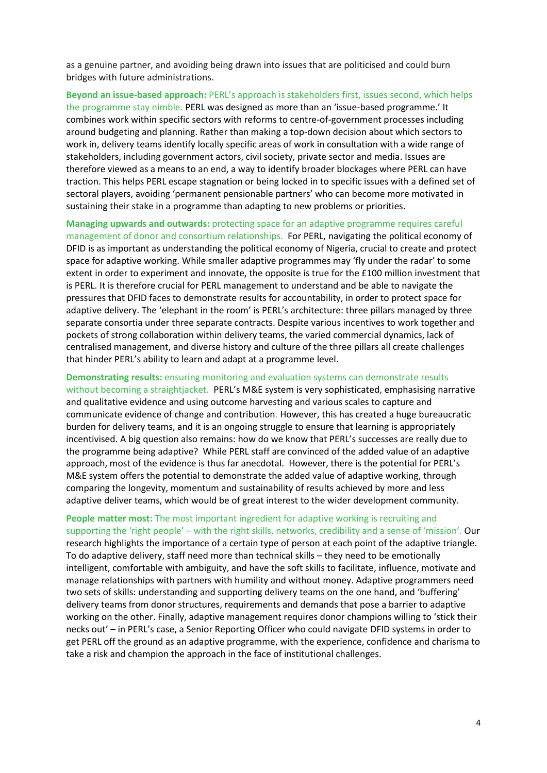as a genuine partner, and avoiding being drawn into issues that are politicised and could burn bridges with future administrations.

**Beyond an issue-based approach:** PERL's approach is stakeholders first, issues second, which helps the programme stay nimble. PERL was designed as more than an 'issue-based programme.' It combines work within specific sectors with reforms to centre-of-government processes including around budgeting and planning. Rather than making a top-down decision about which sectors to work in, delivery teams identify locally specific areas of work in consultation with a wide range of stakeholders, including government actors, civil society, private sector and media. Issues are therefore viewed as a means to an end, a way to identify broader blockages where PERL can have traction. This helps PERL escape stagnation or being locked in to specific issues with a defined set of sectoral players, avoiding 'permanent pensionable partners' who can become more motivated in sustaining their stake in a programme than adapting to new problems or priorities.

**Managing upwards and outwards:** protecting space for an adaptive programme requires careful management of donor and consortium relationships. For PERL, navigating the political economy of DFID is as important as understanding the political economy of Nigeria, crucial to create and protect space for adaptive working. While smaller adaptive programmes may 'fly under the radar' to some extent in order to experiment and innovate, the opposite is true for the £100 million investment that is PERL. It is therefore crucial for PERL management to understand and be able to navigate the pressures that DFID faces to demonstrate results for accountability, in order to protect space for adaptive delivery. The 'elephant in the room' is PERL's architecture: three pillars managed by three separate consortia under three separate contracts. Despite various incentives to work together and pockets of strong collaboration within delivery teams, the varied commercial dynamics, lack of centralised management, and diverse history and culture of the three pillars all create challenges that hinder PERL's ability to learn and adapt at a programme level.

**Demonstrating results:** ensuring monitoring and evaluation systems can demonstrate results without becoming a straightjacket. PERL's M&E system is very sophisticated, emphasising narrative and qualitative evidence and using outcome harvesting and various scales to capture and communicate evidence of change and contribution. However, this has created a huge bureaucratic burden for delivery teams, and it is an ongoing struggle to ensure that learning is appropriately incentivised. A big question also remains: how do we know that PERL's successes are really due to the programme being adaptive? While PERL staff are convinced of the added value of an adaptive approach, most of the evidence is thus far anecdotal. However, there is the potential for PERL's M&E system offers the potential to demonstrate the added value of adaptive working, through comparing the longevity, momentum and sustainability of results achieved by more and less adaptive deliver teams, which would be of great interest to the wider development community.

**People matter most:** The most important ingredient for adaptive working is recruiting and supporting the 'right people' – with the right skills, networks, credibility and a sense of 'mission'. Our research highlights the importance of a certain type of person at each point of the adaptive triangle. To do adaptive delivery, staff need more than technical skills – they need to be emotionally intelligent, comfortable with ambiguity, and have the soft skills to facilitate, influence, motivate and manage relationships with partners with humility and without money. Adaptive programmers need two sets of skills: understanding and supporting delivery teams on the one hand, and 'buffering' delivery teams from donor structures, requirements and demands that pose a barrier to adaptive working on the other. Finally, adaptive management requires donor champions willing to 'stick their necks out' – in PERL's case, a Senior Reporting Officer who could navigate DFID systems in order to get PERL off the ground as an adaptive programme, with the experience, confidence and charisma to take a risk and champion the approach in the face of institutional challenges.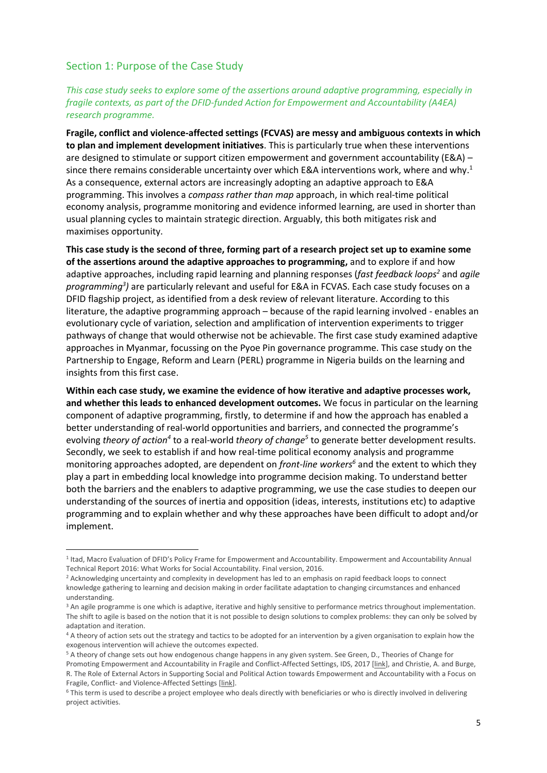## <span id="page-5-0"></span>Section 1: Purpose of the Case Study

**.** 

## *This case study seeks to explore some of the assertions around adaptive programming, especially in fragile contexts, as part of the DFID-funded Action for Empowerment and Accountability (A4EA) research programme.*

**Fragile, conflict and violence-affected settings (FCVAS) are messy and ambiguous contexts in which to plan and implement development initiatives**. This is particularly true when these interventions are designed to stimulate or support citizen empowerment and government accountability (E&A) since there remains considerable uncertainty over which E&A interventions work, where and why. 1 As a consequence, external actors are increasingly adopting an adaptive approach to E&A programming. This involves a *compass rather than map* approach, in which real-time political economy analysis, programme monitoring and evidence informed learning, are used in shorter than usual planning cycles to maintain strategic direction. Arguably, this both mitigates risk and maximises opportunity.

**This case study is the second of three, forming part of a research project set up to examine some of the assertions around the adaptive approaches to programming,** and to explore if and how adaptive approaches, including rapid learning and planning responses (*fast feedback loops<sup>2</sup>* and *agile programming<sup>3</sup> )* are particularly relevant and useful for E&A in FCVAS. Each case study focuses on a DFID flagship project, as identified from a desk review of relevant literature. According to this literature, the adaptive programming approach – because of the rapid learning involved - enables an evolutionary cycle of variation, selection and amplification of intervention experiments to trigger pathways of change that would otherwise not be achievable. The first case study examined adaptive approaches in Myanmar, focussing on the Pyoe Pin governance programme. This case study on the Partnership to Engage, Reform and Learn (PERL) programme in Nigeria builds on the learning and insights from this first case.

**Within each case study, we examine the evidence of how iterative and adaptive processes work, and whether this leads to enhanced development outcomes.** We focus in particular on the learning component of adaptive programming, firstly, to determine if and how the approach has enabled a better understanding of real-world opportunities and barriers, and connected the programme's evolving *theory of action<sup>4</sup>* to a real-world *theory of change<sup>5</sup>* to generate better development results. Secondly, we seek to establish if and how real-time political economy analysis and programme monitoring approaches adopted, are dependent on *front-line workers<sup>6</sup>* and the extent to which they play a part in embedding local knowledge into programme decision making. To understand better both the barriers and the enablers to adaptive programming, we use the case studies to deepen our understanding of the sources of inertia and opposition (ideas, interests, institutions etc) to adaptive programming and to explain whether and why these approaches have been difficult to adopt and/or implement.

<sup>&</sup>lt;sup>1</sup> Itad, Macro Evaluation of DFID's Policy Frame for Empowerment and Accountability. Empowerment and Accountability Annual Technical Report 2016: What Works for Social Accountability. Final version, 2016.

<sup>&</sup>lt;sup>2</sup> Acknowledging uncertainty and complexity in development has led to an emphasis on rapid feedback loops to connect knowledge gathering to learning and decision making in order facilitate adaptation to changing circumstances and enhanced understanding.

<sup>&</sup>lt;sup>3</sup> An agile programme is one which is adaptive, iterative and highly sensitive to performance metrics throughout implementation. The shift to agile is based on the notion that it is not possible to design solutions to complex problems: they can only be solved by adaptation and iteration.

<sup>4</sup> A theory of action sets out the strategy and tactics to be adopted for an intervention by a given organisation to explain how the exogenous intervention will achieve the outcomes expected.

<sup>5</sup> A theory of change sets out how endogenous change happens in any given system. See Green, D.[, Theories of Change for](https://opendocs.ids.ac.uk/opendocs/handle/123456789/13349)  [Promoting Empowerment and Accountability in Fragile and Conflict-Affected Settings,](https://opendocs.ids.ac.uk/opendocs/handle/123456789/13349) IDS, 2017 [\[link\]](https://opendocs.ids.ac.uk/opendocs/handle/123456789/13349), and Christie, A. and Burge, R. The Role of External Actors in Supporting Social and Political Action towards Empowerment and Accountability with a Focus on Fragile, Conflict- and Violence-Affected Settings [\[link\]](https://www.itad.com/knowledge-products/role-external-actors-supporting-social-political-action-towards-empowerment-accountability-focus-fragile-conflict-violence-affected-settings/).

<sup>6</sup> This term is used to describe a project employee who deals directly with beneficiaries or who is directly involved in delivering project activities.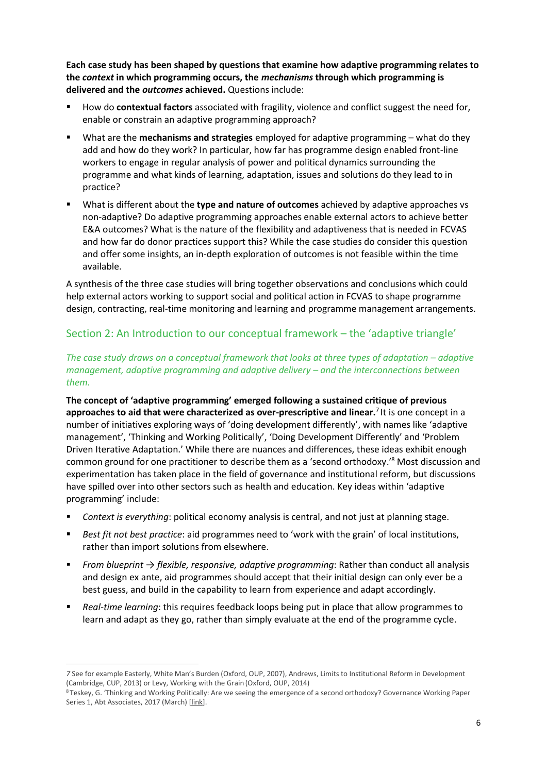**Each case study has been shaped by questions that examine how adaptive programming relates to the** *context* **in which programming occurs, the** *mechanisms* **through which programming is delivered and the** *outcomes* **achieved.** Questions include:

- How do **contextual factors** associated with fragility, violence and conflict suggest the need for, enable or constrain an adaptive programming approach?
- What are the **mechanisms and strategies** employed for adaptive programming what do they add and how do they work? In particular, how far has programme design enabled front-line workers to engage in regular analysis of power and political dynamics surrounding the programme and what kinds of learning, adaptation, issues and solutions do they lead to in practice?
- What is different about the **type and nature of outcomes** achieved by adaptive approaches vs non-adaptive? Do adaptive programming approaches enable external actors to achieve better E&A outcomes? What is the nature of the flexibility and adaptiveness that is needed in FCVAS and how far do donor practices support this? While the case studies do consider this question and offer some insights, an in-depth exploration of outcomes is not feasible within the time available.

A synthesis of the three case studies will bring together observations and conclusions which could help external actors working to support social and political action in FCVAS to shape programme design, contracting, real-time monitoring and learning and programme management arrangements.

## <span id="page-6-0"></span>Section 2: An Introduction to our conceptual framework – the 'adaptive triangle'

## *The case study draws on a conceptual framework that looks at three types of adaptation – adaptive management, adaptive programming and adaptive delivery – and the interconnections between them.*

**The concept of 'adaptive programming' emerged following a sustained critique of previous approaches to aid that were characterized as over-prescriptive and linear.**<sup>7</sup> It is one concept in a number of initiatives exploring ways of 'doing development differently', with names like 'adaptive management', 'Thinking and Working Politically', 'Doing Development Differently' and 'Problem Driven Iterative Adaptation.' While there are nuances and differences, these ideas exhibit enough common ground for one practitioner to describe them as a 'second orthodoxy.' <sup>8</sup> Most discussion and experimentation has taken place in the field of governance and institutional reform, but discussions have spilled over into other sectors such as health and education. Key ideas within 'adaptive programming' include:

- *Context is everything*: political economy analysis is central, and not just at planning stage.
- *Best fit not best practice*: aid programmes need to 'work with the grain' of local institutions, rather than import solutions from elsewhere.
- *From blueprint → flexible, responsive, adaptive programming*: Rather than conduct all analysis and design ex ante, aid programmes should accept that their initial design can only ever be a best guess, and build in the capability to learn from experience and adapt accordingly.
- Real-time learning: this requires feedback loops being put in place that allow programmes to learn and adapt as they go, rather than simply evaluate at the end of the programme cycle.

**<sup>.</sup>** *7* See for example Easterly, White Man's Burden (Oxford, OUP, 2007), Andrews, Limits to Institutional Reform in Development (Cambridge, CUP, 2013) or Levy, Working with the Grain (Oxford, OUP, 2014)

<sup>8</sup> Teskey, G. 'Thinking and Working Politically: Are we seeing the emergence of a second orthodoxy? Governance Working Paper Series 1, Abt Associates, 2017 (March) [\[link\]](https://abtassocgovernancesoapbox.files.wordpress.com/2017/06/abt-associates-working-paper-series-issue-no-1-final-010617.pdf).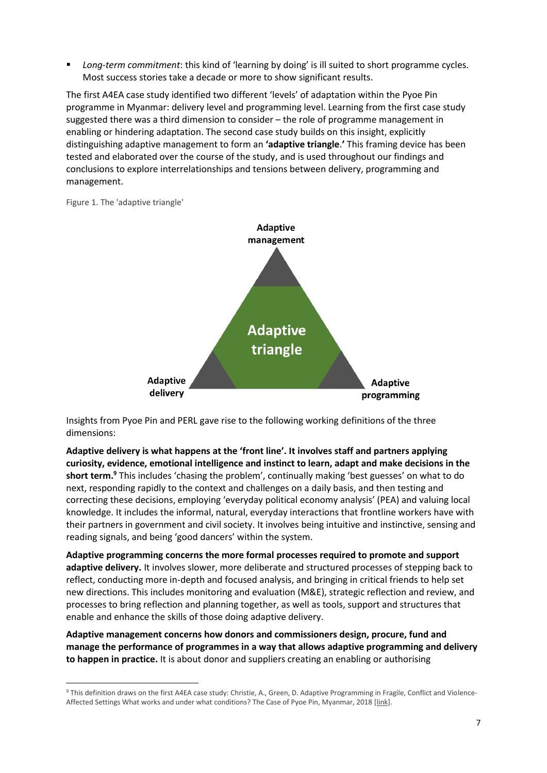Long-term commitment: this kind of 'learning by doing' is ill suited to short programme cycles. Most success stories take a decade or more to show significant results.

The first A4EA case study identified two different 'levels' of adaptation within the Pyoe Pin programme in Myanmar: delivery level and programming level. Learning from the first case study suggested there was a third dimension to consider – the role of programme management in enabling or hindering adaptation. The second case study builds on this insight, explicitly distinguishing adaptive management to form an **'adaptive triangle**.**'** This framing device has been tested and elaborated over the course of the study, and is used throughout our findings and conclusions to explore interrelationships and tensions between delivery, programming and management.

Figure 1. The 'adaptive triangle'

1



Insights from Pyoe Pin and PERL gave rise to the following working definitions of the three dimensions:

**Adaptive delivery is what happens at the 'front line'. It involves staff and partners applying curiosity, evidence, emotional intelligence and instinct to learn, adapt and make decisions in the short term.<sup>9</sup>** This includes 'chasing the problem', continually making 'best guesses' on what to do next, responding rapidly to the context and challenges on a daily basis, and then testing and correcting these decisions, employing 'everyday political economy analysis' (PEA) and valuing local knowledge. It includes the informal, natural, everyday interactions that frontline workers have with their partners in government and civil society. It involves being intuitive and instinctive, sensing and reading signals, and being 'good dancers' within the system.

**Adaptive programming concerns the more formal processes required to promote and support adaptive delivery.** It involves slower, more deliberate and structured processes of stepping back to reflect, conducting more in-depth and focused analysis, and bringing in critical friends to help set new directions. This includes monitoring and evaluation (M&E), strategic reflection and review, and processes to bring reflection and planning together, as well as tools, support and structures that enable and enhance the skills of those doing adaptive delivery.

**Adaptive management concerns how donors and commissioners design, procure, fund and manage the performance of programmes in a way that allows adaptive programming and delivery to happen in practice.** It is about donor and suppliers creating an enabling or authorising

<sup>9</sup> This definition draws on the first A4EA case study: Christie, A., Green, D. Adaptive Programming in Fragile, Conflict and Violence-Affected Settings What works and under what conditions? The Case of Pyoe Pin, Myanmar, 2018 [\[link\]](https://opendocs.ids.ac.uk/opendocs/handle/123456789/13888).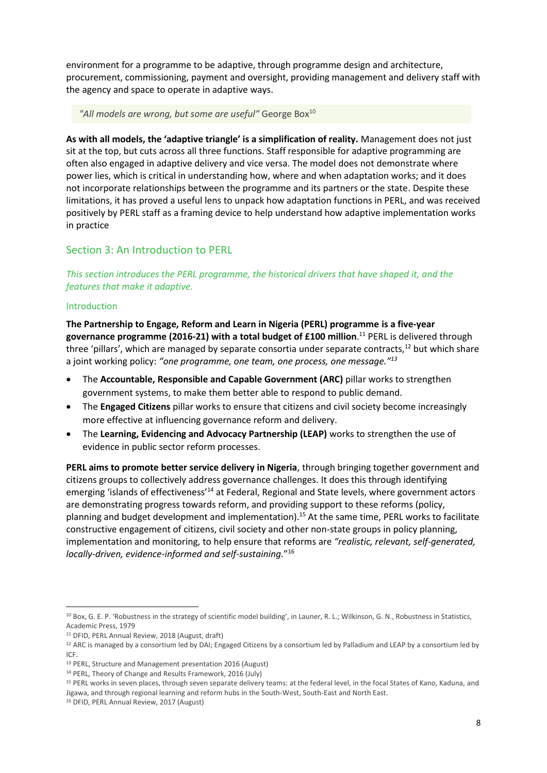environment for a programme to be adaptive, through programme design and architecture, procurement, commissioning, payment and oversight, providing management and delivery staff with the agency and space to operate in adaptive ways.

#### "All models are wrong, but some are useful" George Box<sup>10</sup>

**As with all models, the 'adaptive triangle' is a simplification of reality.** Management does not just sit at the top, but cuts across all three functions. Staff responsible for adaptive programming are often also engaged in adaptive delivery and vice versa. The model does not demonstrate where power lies, which is critical in understanding how, where and when adaptation works; and it does not incorporate relationships between the programme and its partners or the state. Despite these limitations, it has proved a useful lens to unpack how adaptation functions in PERL, and was received positively by PERL staff as a framing device to help understand how adaptive implementation works in practice

## <span id="page-8-0"></span>Section 3: An Introduction to PERL

*This section introduces the PERL programme, the historical drivers that have shaped it, and the features that make it adaptive.*

## <span id="page-8-1"></span>Introduction

**The Partnership to Engage, Reform and Learn in Nigeria (PERL) programme is a five-year governance programme (2016-21) with a total budget of £100 million**. <sup>11</sup> PERL is delivered through three 'pillars', which are managed by separate consortia under separate contracts,<sup>12</sup> but which share a joint working policy: *"one programme, one team, one process, one message."<sup>13</sup>*

- The **Accountable, Responsible and Capable Government (ARC)** pillar works to strengthen government systems, to make them better able to respond to public demand.
- The **Engaged Citizens** pillar works to ensure that citizens and civil society become increasingly more effective at influencing governance reform and delivery.
- The **Learning, Evidencing and Advocacy Partnership (LEAP)** works to strengthen the use of evidence in public sector reform processes.

**PERL aims to promote better service delivery in Nigeria**, through bringing together government and citizens groups to collectively address governance challenges. It does this through identifying emerging 'islands of effectiveness'<sup>14</sup> at Federal, Regional and State levels, where government actors are demonstrating progress towards reform, and providing support to these reforms (policy, planning and budget development and implementation).<sup>15</sup> At the same time, PERL works to facilitate constructive engagement of citizens, civil society and other non-state groups in policy planning, implementation and monitoring, to help ensure that reforms are *"realistic, relevant, self-generated, locally-driven, evidence-informed and self-sustaining.*" 16

<span id="page-8-2"></span>**.** 

<sup>&</sup>lt;sup>10</sup> Box, G. E. P. 'Robustness in the strategy of scientific model building', in Launer, R. L.; Wilkinson, G. N., Robustness in Statistics, Academic Press, 1979

<sup>11</sup> DFID, PERL Annual Review, 2018 (August, draft)

 $12$  ARC is managed by a consortium led by DAI; Engaged Citizens by a consortium led by Palladium and LEAP by a consortium led by ICF.

<sup>13</sup> PERL, Structure and Management presentation 2016 (August)

<sup>14</sup> PERL, Theory of Change and Results Framework, 2016 (July)

<sup>15</sup> PERL works in seven places, through seven separate delivery teams: at the federal level, in the focal States of Kano, Kaduna, and Jigawa, and through regional learning and reform hubs in the South-West, South-East and North East.

<sup>&</sup>lt;sup>16</sup> DFID, PERL Annual Review, 2017 (August)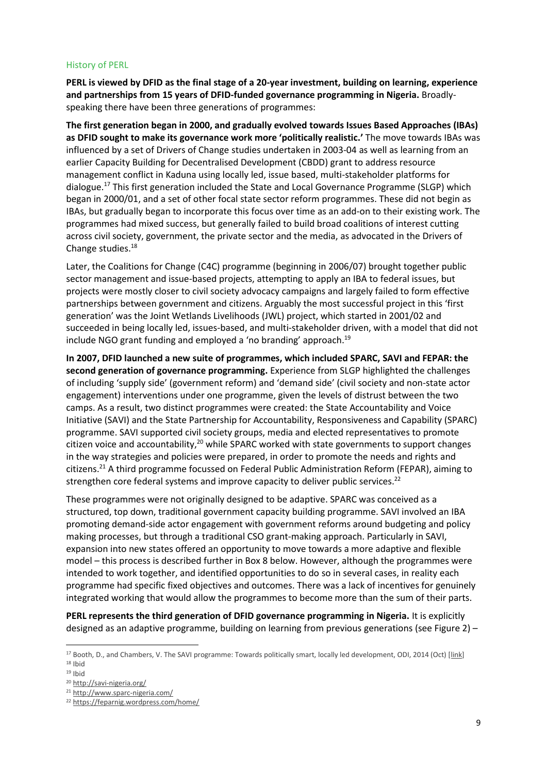## History of PERL

**PERL is viewed by DFID as the final stage of a 20-year investment, building on learning, experience and partnerships from 15 years of DFID-funded governance programming in Nigeria.** Broadlyspeaking there have been three generations of programmes:

**The first generation began in 2000, and gradually evolved towards Issues Based Approaches (IBAs) as DFID sought to make its governance work more 'politically realistic.'** The move towards IBAs was influenced by a set of Drivers of Change studies undertaken in 2003-04 as well as learning from an earlier Capacity Building for Decentralised Development (CBDD) grant to address resource management conflict in Kaduna using locally led, issue based, multi-stakeholder platforms for dialogue.<sup>17</sup> This first generation included the State and Local Governance Programme (SLGP) which began in 2000/01, and a set of other focal state sector reform programmes. These did not begin as IBAs, but gradually began to incorporate this focus over time as an add-on to their existing work. The programmes had mixed success, but generally failed to build broad coalitions of interest cutting across civil society, government, the private sector and the media, as advocated in the Drivers of Change studies. 18

Later, the Coalitions for Change (C4C) programme (beginning in 2006/07) brought together public sector management and issue-based projects, attempting to apply an IBA to federal issues, but projects were mostly closer to civil society advocacy campaigns and largely failed to form effective partnerships between government and citizens. Arguably the most successful project in this 'first generation' was the Joint Wetlands Livelihoods (JWL) project, which started in 2001/02 and succeeded in being locally led, issues-based, and multi-stakeholder driven, with a model that did not include NGO grant funding and employed a 'no branding' approach.<sup>19</sup>

**In 2007, DFID launched a new suite of programmes, which included SPARC, SAVI and FEPAR: the second generation of governance programming.** Experience from SLGP highlighted the challenges of including 'supply side' (government reform) and 'demand side' (civil society and non-state actor engagement) interventions under one programme, given the levels of distrust between the two camps. As a result, two distinct programmes were created: the State Accountability and Voice Initiative (SAVI) and the State Partnership for Accountability, Responsiveness and Capability (SPARC) programme. SAVI supported civil society groups, media and elected representatives to promote citizen voice and accountability,<sup>20</sup> while SPARC worked with state governments to support changes in the way strategies and policies were prepared, in order to promote the needs and rights and citizens.<sup>21</sup> A third programme focussed on Federal Public Administration Reform (FEPAR), aiming to strengthen core federal systems and improve capacity to deliver public services.<sup>22</sup>

These programmes were not originally designed to be adaptive. SPARC was conceived as a structured, top down, traditional government capacity building programme. SAVI involved an IBA promoting demand-side actor engagement with government reforms around budgeting and policy making processes, but through a traditional CSO grant-making approach. Particularly in SAVI, expansion into new states offered an opportunity to move towards a more adaptive and flexible model – this process is described further in Box 8 below. However, although the programmes were intended to work together, and identified opportunities to do so in several cases, in reality each programme had specific fixed objectives and outcomes. There was a lack of incentives for genuinely integrated working that would allow the programmes to become more than the sum of their parts.

**PERL represents the third generation of DFID governance programming in Nigeria.** It is explicitly designed as an adaptive programme, building on learning from previous generations (see Figure 2) –

 $\overline{\phantom{a}}$ 

<sup>&</sup>lt;sup>17</sup> Booth, D., and Chambers, V. The SAVI programme: Towards politically smart, locally led development, ODI, 2014 (Oct) [\[link\]](https://www.odi.org/sites/odi.org.uk/files/odi-assets/publications-opinion-files/9203.pdf) <sup>18</sup> [Ibid](https://www.odi.org/sites/odi.org.uk/files/odi-assets/publications-opinion-files/9203.pdf)

 $19$  [Ibid](https://www.odi.org/sites/odi.org.uk/files/odi-assets/publications-opinion-files/9203.pdf)

<sup>20</sup> <http://savi-nigeria.org/>

<sup>21</sup> <http://www.sparc-nigeria.com/>

<sup>22</sup> <https://feparnig.wordpress.com/home/>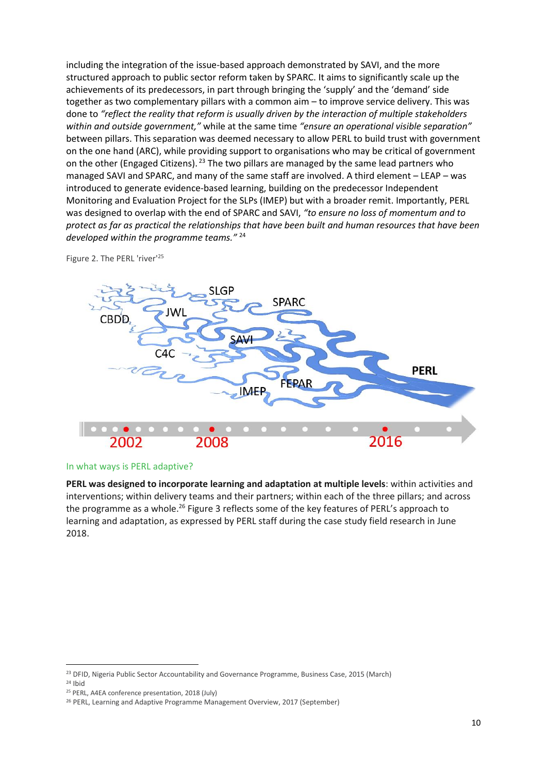including the integration of the issue-based approach demonstrated by SAVI, and the more structured approach to public sector reform taken by SPARC. It aims to significantly scale up the achievements of its predecessors, in part through bringing the 'supply' and the 'demand' side together as two complementary pillars with a common aim – to improve service delivery. This was done to *"reflect the reality that reform is usually driven by the interaction of multiple stakeholders within and outside government,"* while at the same time *"ensure an operational visible separation"*  between pillars. This separation was deemed necessary to allow PERL to build trust with government on the one hand (ARC), while providing support to organisations who may be critical of government on the other (Engaged Citizens). <sup>23</sup> The two pillars are managed by the same lead partners who managed SAVI and SPARC, and many of the same staff are involved. A third element – LEAP – was introduced to generate evidence-based learning, building on the predecessor Independent Monitoring and Evaluation Project for the SLPs (IMEP) but with a broader remit. Importantly, PERL was designed to overlap with the end of SPARC and SAVI, *"to ensure no loss of momentum and to protect as far as practical the relationships that have been built and human resources that have been developed within the programme teams."* <sup>24</sup>



Figure 2. The PERL 'river'<sup>25</sup>

#### <span id="page-10-0"></span>In what ways is PERL adaptive?

**PERL was designed to incorporate learning and adaptation at multiple levels**: within activities and interventions; within delivery teams and their partners; within each of the three pillars; and across the programme as a whole.<sup>26</sup> Figure 3 reflects some of the key features of PERL's approach to learning and adaptation, as expressed by PERL staff during the case study field research in June 2018.

 $\overline{a}$ 

<sup>&</sup>lt;sup>23</sup> DFID, Nigeria Public Sector Accountability and Governance Programme, Business Case, 2015 (March)  $24$  Ibid

<sup>25</sup> PERL, A4EA conference presentation, 2018 (July)

<sup>&</sup>lt;sup>26</sup> PERL, Learning and Adaptive Programme Management Overview, 2017 (September)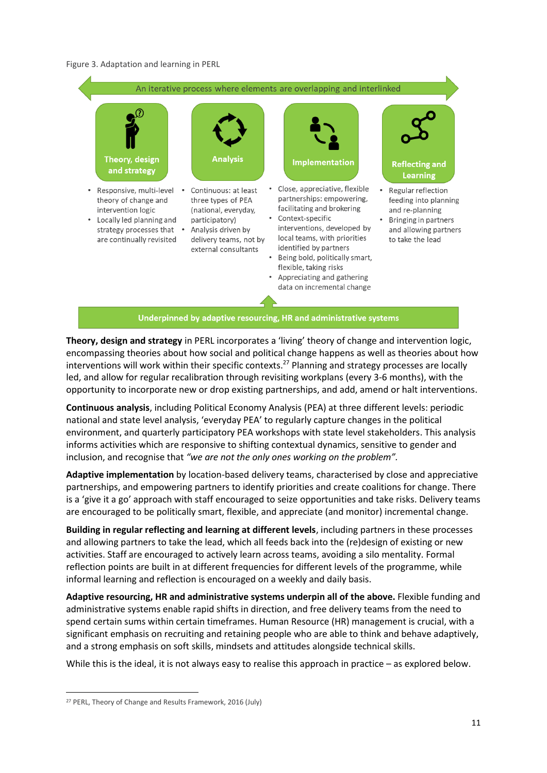#### Figure 3. Adaptation and learning in PERL



**Theory, design and strategy** in PERL incorporates a 'living' theory of change and intervention logic, encompassing theories about how social and political change happens as well as theories about how interventions will work within their specific contexts. <sup>27</sup> Planning and strategy processes are locally led, and allow for regular recalibration through revisiting workplans (every 3-6 months), with the opportunity to incorporate new or drop existing partnerships, and add, amend or halt interventions.

**Continuous analysis**, including Political Economy Analysis (PEA) at three different levels: periodic national and state level analysis, 'everyday PEA' to regularly capture changes in the political environment, and quarterly participatory PEA workshops with state level stakeholders. This analysis informs activities which are responsive to shifting contextual dynamics, sensitive to gender and inclusion, and recognise that *"we are not the only ones working on the problem".*

**Adaptive implementation** by location-based delivery teams, characterised by close and appreciative partnerships, and empowering partners to identify priorities and create coalitions for change. There is a 'give it a go' approach with staff encouraged to seize opportunities and take risks. Delivery teams are encouraged to be politically smart, flexible, and appreciate (and monitor) incremental change.

**Building in regular reflecting and learning at different levels**, including partners in these processes and allowing partners to take the lead, which all feeds back into the (re)design of existing or new activities. Staff are encouraged to actively learn across teams, avoiding a silo mentality. Formal reflection points are built in at different frequencies for different levels of the programme, while informal learning and reflection is encouraged on a weekly and daily basis.

**Adaptive resourcing, HR and administrative systems underpin all of the above.** Flexible funding and administrative systems enable rapid shifts in direction, and free delivery teams from the need to spend certain sums within certain timeframes. Human Resource (HR) management is crucial, with a significant emphasis on recruiting and retaining people who are able to think and behave adaptively, and a strong emphasis on soft skills, mindsets and attitudes alongside technical skills.

While this is the ideal, it is not always easy to realise this approach in practice – as explored below.

**.** 

<sup>27</sup> PERL, Theory of Change and Results Framework, 2016 (July)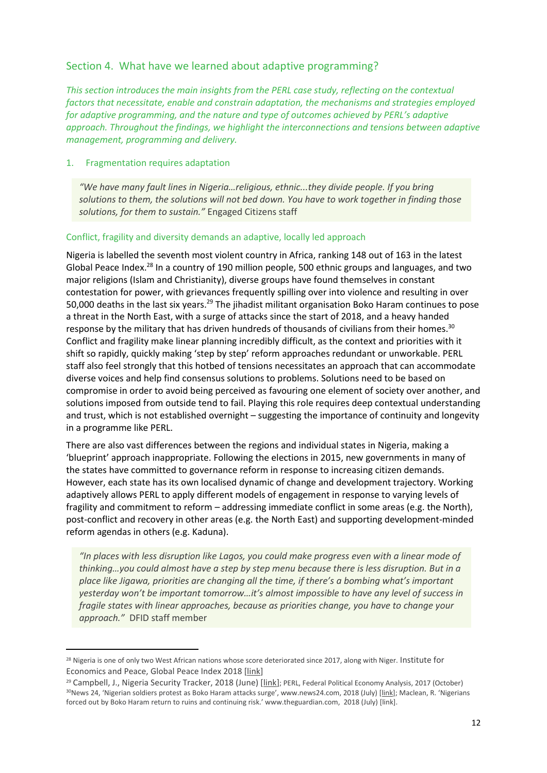## <span id="page-12-0"></span>Section 4. What have we learned about adaptive programming?

*This section introduces the main insights from the PERL case study, reflecting on the contextual factors that necessitate, enable and constrain adaptation, the mechanisms and strategies employed for adaptive programming, and the nature and type of outcomes achieved by PERL's adaptive approach. Throughout the findings, we highlight the interconnections and tensions between adaptive management, programming and delivery.*

## <span id="page-12-1"></span>1. Fragmentation requires adaptation

**.** 

*"We have many fault lines in Nigeria…religious, ethnic...they divide people. If you bring solutions to them, the solutions will not bed down. You have to work together in finding those solutions, for them to sustain."* Engaged Citizens staff

## Conflict, fragility and diversity demands an adaptive, locally led approach

Nigeria is labelled the seventh most violent country in Africa, ranking 148 out of 163 in the latest Global Peace Index.<sup>28</sup> In a country of 190 million people, 500 ethnic groups and languages, and two major religions (Islam and Christianity), diverse groups have found themselves in constant contestation for power, with grievances frequently spilling over into violence and resulting in over 50,000 deaths in the last six years.<sup>29</sup> The jihadist militant organisation Boko Haram continues to pose a threat in the North East, with a surge of attacks since the start of 2018, and a heavy handed response by the military that has driven hundreds of thousands of civilians from their homes.<sup>30</sup> Conflict and fragility make linear planning incredibly difficult, as the context and priorities with it shift so rapidly, quickly making 'step by step' reform approaches redundant or unworkable. PERL staff also feel strongly that this hotbed of tensions necessitates an approach that can accommodate diverse voices and help find consensus solutions to problems. Solutions need to be based on compromise in order to avoid being perceived as favouring one element of society over another, and solutions imposed from outside tend to fail. Playing this role requires deep contextual understanding and trust, which is not established overnight – suggesting the importance of continuity and longevity in a programme like PERL.

There are also vast differences between the regions and individual states in Nigeria, making a 'blueprint' approach inappropriate. Following the elections in 2015, new governments in many of the states have committed to governance reform in response to increasing citizen demands. However, each state has its own localised dynamic of change and development trajectory. Working adaptively allows PERL to apply different models of engagement in response to varying levels of fragility and commitment to reform – addressing immediate conflict in some areas (e.g. the North), post-conflict and recovery in other areas (e.g. the North East) and supporting development-minded reform agendas in others (e.g. Kaduna).

*"In places with less disruption like Lagos, you could make progress even with a linear mode of thinking…you could almost have a step by step menu because there is less disruption. But in a place like Jigawa, priorities are changing all the time, if there's a bombing what's important yesterday won't be important tomorrow…it's almost impossible to have any level of success in fragile states with linear approaches, because as priorities change, you have to change your approach."* DFID staff member

<sup>&</sup>lt;sup>28</sup> Nigeria is one of only two West African nations whose score deteriorated since 2017, along with Niger. Institute for Economics and Peace, Global Peace Index 2018 [\[link\]](http://visionofhumanity.org/app/uploads/2018/06/Global-Peace-Index-2018-2.pdf)

<sup>29</sup> Campbell, J., Nigeria Security Tracker, 2018 (June) [\[link\]](https://www.cfr.org/nigeria/nigeria-security-tracker/p29483); PERL, Federal Political Economy Analysis, 2017 (October) <sup>30</sup>News 24, 'Nigerian soldiers protest as Boko Haram attacks surge', www.news24.com, 2018 (July) [[link](https://www.news24.com/Africa/News/nigerian-soldiers-protest-as-boko-haram-attacks-surge-20180815)]; Maclean, R. 'Nigerians forced out by Boko Haram return to ruins and continuing risk.' www.theguardian.com, 2018 (July) [link].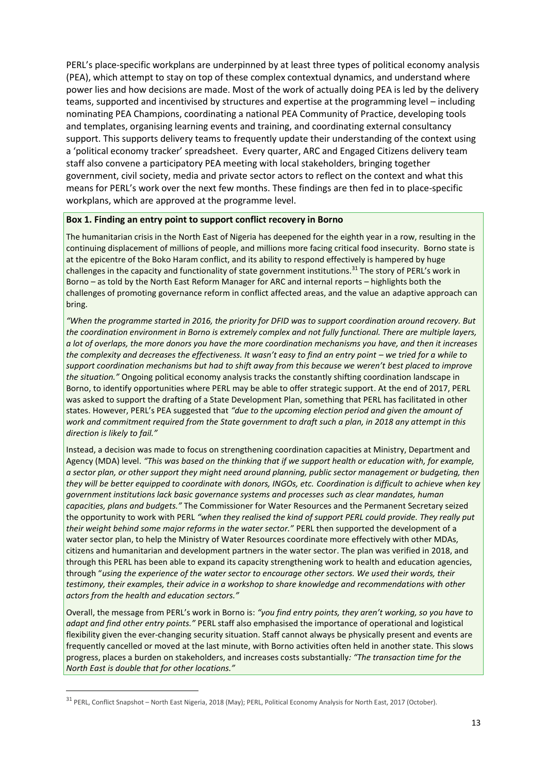PERL's place-specific workplans are underpinned by at least three types of political economy analysis (PEA), which attempt to stay on top of these complex contextual dynamics, and understand where power lies and how decisions are made. Most of the work of actually doing PEA is led by the delivery teams, supported and incentivised by structures and expertise at the programming level – including nominating PEA Champions, coordinating a national PEA Community of Practice, developing tools and templates, organising learning events and training, and coordinating external consultancy support. This supports delivery teams to frequently update their understanding of the context using a 'political economy tracker' spreadsheet. Every quarter, ARC and Engaged Citizens delivery team staff also convene a participatory PEA meeting with local stakeholders, bringing together government, civil society, media and private sector actors to reflect on the context and what this means for PERL's work over the next few months. These findings are then fed in to place-specific workplans, which are approved at the programme level.

## **Box 1. Finding an entry point to support conflict recovery in Borno**

The humanitarian crisis in the North East of Nigeria has deepened for the eighth year in a row, resulting in the continuing displacement of millions of people, and millions more facing critical food insecurity. Borno state is at the epicentre of the Boko Haram conflict, and its ability to respond effectively is hampered by huge challenges in the capacity and functionality of state government institutions.<sup>31</sup> The story of PERL's work in Borno – as told by the North East Reform Manager for ARC and internal reports – highlights both the challenges of promoting governance reform in conflict affected areas, and the value an adaptive approach can bring.

*"When the programme started in 2016, the priority for DFID was to support coordination around recovery. But the coordination environment in Borno is extremely complex and not fully functional. There are multiple layers, a lot of overlaps, the more donors you have the more coordination mechanisms you have, and then it increases the complexity and decreases the effectiveness. It wasn't easy to find an entry point – we tried for a while to support coordination mechanisms but had to shift away from this because we weren't best placed to improve the situation."* Ongoing political economy analysis tracks the constantly shifting coordination landscape in Borno, to identify opportunities where PERL may be able to offer strategic support. At the end of 2017, PERL was asked to support the drafting of a State Development Plan, something that PERL has facilitated in other states. However, PERL's PEA suggested that *"due to the upcoming election period and given the amount of work and commitment required from the State government to draft such a plan, in 2018 any attempt in this direction is likely to fail."*

Instead, a decision was made to focus on strengthening coordination capacities at Ministry, Department and Agency (MDA) level. *"This was based on the thinking that if we support health or education with, for example, a sector plan, or other support they might need around planning, public sector management or budgeting, then they will be better equipped to coordinate with donors, INGOs, etc. Coordination is difficult to achieve when key government institutions lack basic governance systems and processes such as clear mandates, human capacities, plans and budgets."* The Commissioner for Water Resources and the Permanent Secretary seized the opportunity to work with PERL *"when they realised the kind of support PERL could provide. They really put their weight behind some major reforms in the water sector."* PERL then supported the development of a water sector plan, to help the Ministry of Water Resources coordinate more effectively with other MDAs, citizens and humanitarian and development partners in the water sector. The plan was verified in 2018, and through this PERL has been able to expand its capacity strengthening work to health and education agencies, through "*using the experience of the water sector to encourage other sectors. We used their words, their testimony, their examples, their advice in a workshop to share knowledge and recommendations with other actors from the health and education sectors."* 

Overall, the message from PERL's work in Borno is: *"you find entry points, they aren't working, so you have to adapt and find other entry points."* PERL staff also emphasised the importance of operational and logistical flexibility given the ever-changing security situation. Staff cannot always be physically present and events are frequently cancelled or moved at the last minute, with Borno activities often held in another state. This slows progress, places a burden on stakeholders, and increases costs substantially*: "The transaction time for the North East is double that for other locations."*

**.** 

 $31$  PERL, Conflict Snapshot – North East Nigeria, 2018 (May); PERL, Political Economy Analysis for North East, 2017 (October).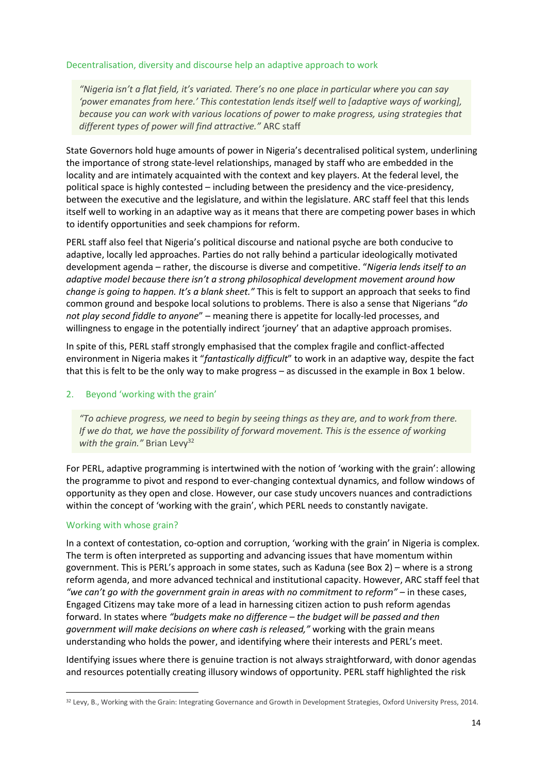## Decentralisation, diversity and discourse help an adaptive approach to work

*"Nigeria isn't a flat field, it's variated. There's no one place in particular where you can say 'power emanates from here.' This contestation lends itself well to [adaptive ways of working], because you can work with various locations of power to make progress, using strategies that different types of power will find attractive."* ARC staff

State Governors hold huge amounts of power in Nigeria's decentralised political system, underlining the importance of strong state-level relationships, managed by staff who are embedded in the locality and are intimately acquainted with the context and key players. At the federal level, the political space is highly contested – including between the presidency and the vice-presidency, between the executive and the legislature, and within the legislature. ARC staff feel that this lends itself well to working in an adaptive way as it means that there are competing power bases in which to identify opportunities and seek champions for reform.

PERL staff also feel that Nigeria's political discourse and national psyche are both conducive to adaptive, locally led approaches. Parties do not rally behind a particular ideologically motivated development agenda – rather, the discourse is diverse and competitive. "*Nigeria lends itself to an adaptive model because there isn't a strong philosophical development movement around how change is going to happen. It's a blank sheet."* This is felt to support an approach that seeks to find common ground and bespoke local solutions to problems. There is also a sense that Nigerians "*do not play second fiddle to anyone*" – meaning there is appetite for locally-led processes, and willingness to engage in the potentially indirect 'journey' that an adaptive approach promises.

In spite of this, PERL staff strongly emphasised that the complex fragile and conflict-affected environment in Nigeria makes it "*fantastically difficult*" to work in an adaptive way, despite the fact that this is felt to be the only way to make progress – as discussed in the example in Box 1 below.

## <span id="page-14-0"></span>2. Beyond 'working with the grain'

*"To achieve progress, we need to begin by seeing things as they are, and to work from there. If we do that, we have the possibility of forward movement. This is the essence of working* with the grain." Brian Levy<sup>32</sup>

For PERL, adaptive programming is intertwined with the notion of 'working with the grain': allowing the programme to pivot and respond to ever-changing contextual dynamics, and follow windows of opportunity as they open and close. However, our case study uncovers nuances and contradictions within the concept of 'working with the grain', which PERL needs to constantly navigate.

## Working with whose grain?

**.** 

In a context of contestation, co-option and corruption, 'working with the grain' in Nigeria is complex. The term is often interpreted as supporting and advancing issues that have momentum within government. This is PERL's approach in some states, such as Kaduna (see Box 2) – where is a strong reform agenda, and more advanced technical and institutional capacity. However, ARC staff feel that *"we can't go with the government grain in gregs with no commitment to reform" – in these cases.* Engaged Citizens may take more of a lead in harnessing citizen action to push reform agendas forward. In states where *"budgets make no difference – the budget will be passed and then government will make decisions on where cash is released,"* working with the grain means understanding who holds the power, and identifying where their interests and PERL's meet.

Identifying issues where there is genuine traction is not always straightforward, with donor agendas and resources potentially creating illusory windows of opportunity. PERL staff highlighted the risk

<sup>&</sup>lt;sup>32</sup> Levy, B., Working with the Grain: Integrating Governance and Growth in Development Strategies, Oxford University Press, 2014.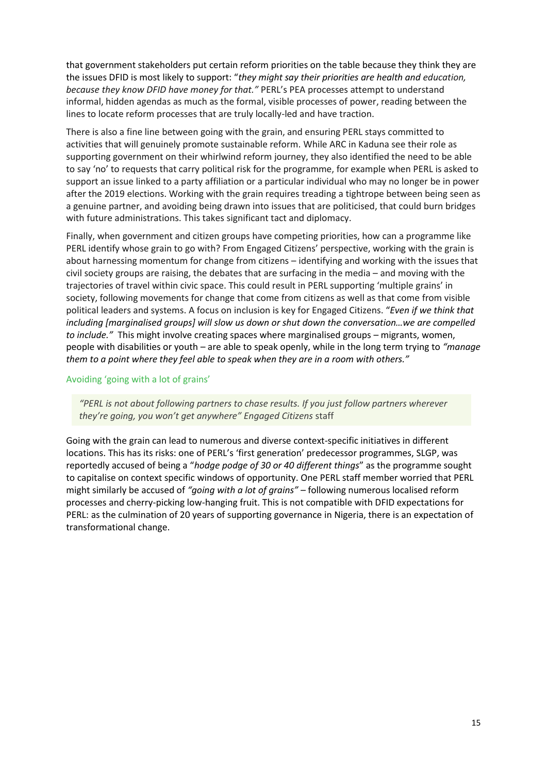that government stakeholders put certain reform priorities on the table because they think they are the issues DFID is most likely to support: "*they might say their priorities are health and education, because they know DFID have money for that."* PERL's PEA processes attempt to understand informal, hidden agendas as much as the formal, visible processes of power, reading between the lines to locate reform processes that are truly locally-led and have traction.

There is also a fine line between going with the grain, and ensuring PERL stays committed to activities that will genuinely promote sustainable reform. While ARC in Kaduna see their role as supporting government on their whirlwind reform journey, they also identified the need to be able to say 'no' to requests that carry political risk for the programme, for example when PERL is asked to support an issue linked to a party affiliation or a particular individual who may no longer be in power after the 2019 elections. Working with the grain requires treading a tightrope between being seen as a genuine partner, and avoiding being drawn into issues that are politicised, that could burn bridges with future administrations. This takes significant tact and diplomacy.

Finally, when government and citizen groups have competing priorities, how can a programme like PERL identify whose grain to go with? From Engaged Citizens' perspective, working with the grain is about harnessing momentum for change from citizens – identifying and working with the issues that civil society groups are raising, the debates that are surfacing in the media – and moving with the trajectories of travel within civic space. This could result in PERL supporting 'multiple grains' in society, following movements for change that come from citizens as well as that come from visible political leaders and systems. A focus on inclusion is key for Engaged Citizens. "*Even if we think that including [marginalised groups] will slow us down or shut down the conversation…we are compelled to include."* This might involve creating spaces where marginalised groups – migrants, women, people with disabilities or youth – are able to speak openly, while in the long term trying to *"manage them to a point where they feel able to speak when they are in a room with others."*

## Avoiding 'going with a lot of grains'

*"PERL is not about following partners to chase results. If you just follow partners wherever they're going, you won't get anywhere" Engaged Citizens* staff

Going with the grain can lead to numerous and diverse context-specific initiatives in different locations. This has its risks: one of PERL's 'first generation' predecessor programmes, SLGP, was reportedly accused of being a "*hodge podge of 30 or 40 different things*" as the programme sought to capitalise on context specific windows of opportunity. One PERL staff member worried that PERL might similarly be accused of *"going with a lot of grains" –* following numerous localised reform processes and cherry-picking low-hanging fruit. This is not compatible with DFID expectations for PERL: as the culmination of 20 years of supporting governance in Nigeria, there is an expectation of transformational change.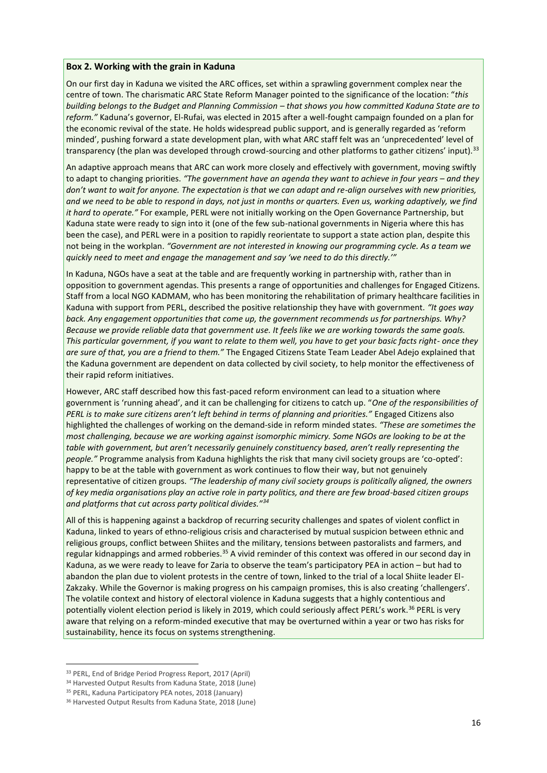#### **Box 2. Working with the grain in Kaduna**

On our first day in Kaduna we visited the ARC offices, set within a sprawling government complex near the centre of town. The charismatic ARC State Reform Manager pointed to the significance of the location: "*this building belongs to the Budget and Planning Commission – that shows you how committed Kaduna State are to reform."* Kaduna's governor, El-Rufai, was elected in 2015 after a well-fought campaign founded on a plan for the economic revival of the state. He holds widespread public support, and is generally regarded as 'reform minded', pushing forward a state development plan, with what ARC staff felt was an 'unprecedented' level of transparency (the plan was developed through crowd-sourcing and other platforms to gather citizens' input).<sup>33</sup>

An adaptive approach means that ARC can work more closely and effectively with government, moving swiftly to adapt to changing priorities. *"The government have an agenda they want to achieve in four years – and they don't want to wait for anyone. The expectation is that we can adapt and re-align ourselves with new priorities, and we need to be able to respond in days, not just in months or quarters. Even us, working adaptively, we find it hard to operate."* For example, PERL were not initially working on the Open Governance Partnership, but Kaduna state were ready to sign into it (one of the few sub-national governments in Nigeria where this has been the case), and PERL were in a position to rapidly reorientate to support a state action plan, despite this not being in the workplan. *"Government are not interested in knowing our programming cycle. As a team we quickly need to meet and engage the management and say 'we need to do this directly.'"* 

In Kaduna, NGOs have a seat at the table and are frequently working in partnership with, rather than in opposition to government agendas. This presents a range of opportunities and challenges for Engaged Citizens. Staff from a local NGO KADMAM, who has been monitoring the rehabilitation of primary healthcare facilities in Kaduna with support from PERL, described the positive relationship they have with government. *"It goes way back. Any engagement opportunities that come up, the government recommends us for partnerships. Why? Because we provide reliable data that government use. It feels like we are working towards the same goals. This particular government, if you want to relate to them well, you have to get your basic facts right- once they are sure of that, you are a friend to them."* The Engaged Citizens State Team Leader Abel Adejo explained that the Kaduna government are dependent on data collected by civil society, to help monitor the effectiveness of their rapid reform initiatives.

However, ARC staff described how this fast-paced reform environment can lead to a situation where government is 'running ahead', and it can be challenging for citizens to catch up. "*One of the responsibilities of PERL is to make sure citizens aren't left behind in terms of planning and priorities."* Engaged Citizens also highlighted the challenges of working on the demand-side in reform minded states. *"These are sometimes the most challenging, because we are working against isomorphic mimicry. Some NGOs are looking to be at the table with government, but aren't necessarily genuinely constituency based, aren't really representing the people."* Programme analysis from Kaduna highlights the risk that many civil society groups are 'co-opted': happy to be at the table with government as work continues to flow their way, but not genuinely representative of citizen groups. *"The leadership of many civil society groups is politically aligned, the owners of key media organisations play an active role in party politics, and there are few broad-based citizen groups and platforms that cut across party political divides."<sup>34</sup>*

All of this is happening against a backdrop of recurring security challenges and spates of violent conflict in Kaduna, linked to years of ethno-religious crisis and characterised by mutual suspicion between ethnic and religious groups, conflict between Shiites and the military, tensions between pastoralists and farmers, and regular kidnappings and armed robberies.<sup>35</sup> A vivid reminder of this context was offered in our second day in Kaduna, as we were ready to leave for Zaria to observe the team's participatory PEA in action – but had to abandon the plan due to violent protests in the centre of town, linked to the trial of a local Shiite leader El-Zakzaky. While the Governor is making progress on his campaign promises, this is also creating 'challengers'. The volatile context and history of electoral violence in Kaduna suggests that a highly contentious and potentially violent election period is likely in 2019, which could seriously affect PERL's work.<sup>36</sup> PERL is very aware that relying on a reform-minded executive that may be overturned within a year or two has risks for sustainability, hence its focus on systems strengthening.

**.** 

<sup>33</sup> PERL, End of Bridge Period Progress Report, 2017 (April)

<sup>34</sup> Harvested Output Results from Kaduna State, 2018 (June)

<sup>35</sup> PERL, Kaduna Participatory PEA notes, 2018 (January)

<sup>36</sup> Harvested Output Results from Kaduna State, 2018 (June)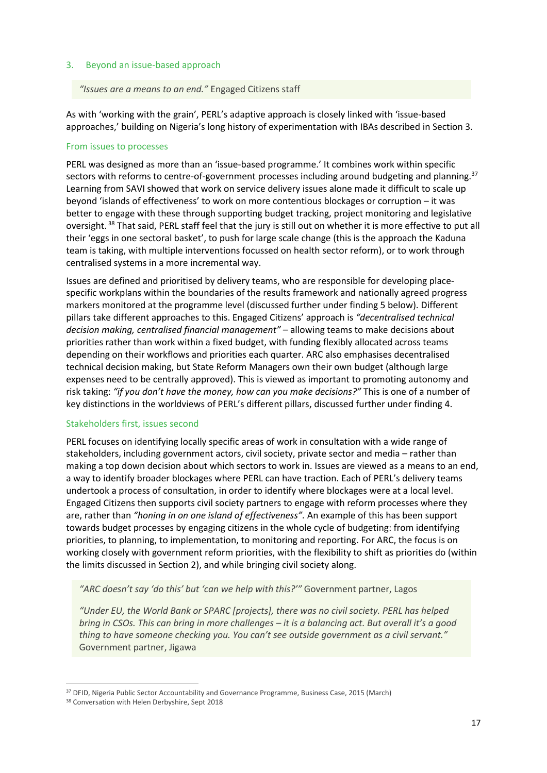## <span id="page-17-0"></span>3. Beyond an issue-based approach

#### *"Issues are a means to an end."* Engaged Citizens staff

As with 'working with the grain', PERL's adaptive approach is closely linked with 'issue-based approaches,' building on Nigeria's long history of experimentation with IBAs described in Section 3.

#### From issues to processes

PERL was designed as more than an 'issue-based programme.' It combines work within specific sectors with reforms to centre-of-government processes including around budgeting and planning.<sup>37</sup> Learning from SAVI showed that work on service delivery issues alone made it difficult to scale up beyond 'islands of effectiveness' to work on more contentious blockages or corruption – it was better to engage with these through supporting budget tracking, project monitoring and legislative oversight. <sup>38</sup> That said, PERL staff feel that the jury is still out on whether it is more effective to put all their 'eggs in one sectoral basket', to push for large scale change (this is the approach the Kaduna team is taking, with multiple interventions focussed on health sector reform), or to work through centralised systems in a more incremental way.

Issues are defined and prioritised by delivery teams, who are responsible for developing placespecific workplans within the boundaries of the results framework and nationally agreed progress markers monitored at the programme level (discussed further under finding 5 below). Different pillars take different approaches to this. Engaged Citizens' approach is *"decentralised technical decision making, centralised financial management"* – allowing teams to make decisions about priorities rather than work within a fixed budget, with funding flexibly allocated across teams depending on their workflows and priorities each quarter. ARC also emphasises decentralised technical decision making, but State Reform Managers own their own budget (although large expenses need to be centrally approved). This is viewed as important to promoting autonomy and risk taking: *"if you don't have the money, how can you make decisions?"* This is one of a number of key distinctions in the worldviews of PERL's different pillars, discussed further under finding 4.

#### Stakeholders first, issues second

PERL focuses on identifying locally specific areas of work in consultation with a wide range of stakeholders, including government actors, civil society, private sector and media – rather than making a top down decision about which sectors to work in. Issues are viewed as a means to an end, a way to identify broader blockages where PERL can have traction. Each of PERL's delivery teams undertook a process of consultation, in order to identify where blockages were at a local level. Engaged Citizens then supports civil society partners to engage with reform processes where they are, rather than *"honing in on one island of effectiveness".* An example of this has been support towards budget processes by engaging citizens in the whole cycle of budgeting: from identifying priorities, to planning, to implementation, to monitoring and reporting. For ARC, the focus is on working closely with government reform priorities, with the flexibility to shift as priorities do (within the limits discussed in Section 2), and while bringing civil society along.

*"ARC doesn't say 'do this' but 'can we help with this?'"* Government partner, Lagos

*"Under EU, the World Bank or SPARC [projects], there was no civil society. PERL has helped bring in CSOs. This can bring in more challenges – it is a balancing act. But overall it's a good thing to have someone checking you. You can't see outside government as a civil servant."*  Government partner, Jigawa

1

<sup>37</sup> DFID, Nigeria Public Sector Accountability and Governance Programme, Business Case, 2015 (March)

<sup>38</sup> Conversation with Helen Derbyshire, Sept 2018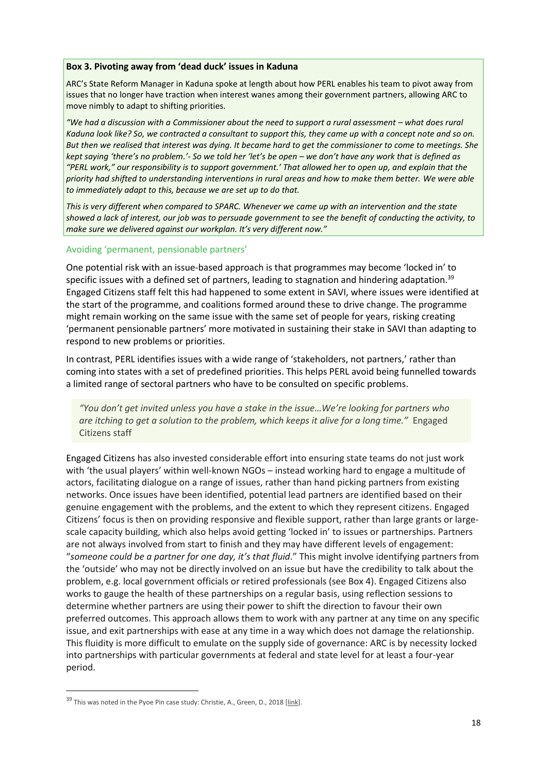#### **Box 3. Pivoting away from 'dead duck' issues in Kaduna**

ARC's State Reform Manager in Kaduna spoke at length about how PERL enables his team to pivot away from issues that no longer have traction when interest wanes among their government partners, allowing ARC to move nimbly to adapt to shifting priorities.

*"We had a discussion with a Commissioner about the need to support a rural assessment – what does rural Kaduna look like? So, we contracted a consultant to support this, they came up with a concept note and so on. But then we realised that interest was dying. It became hard to get the commissioner to come to meetings. She kept saying 'there's no problem.'- So we told her 'let's be open – we don't have any work that is defined as "PERL work," our responsibility is to support government.' That allowed her to open up, and explain that the priority had shifted to understanding interventions in rural areas and how to make them better. We were able to immediately adapt to this, because we are set up to do that.*

*This is very different when compared to SPARC. Whenever we came up with an intervention and the state showed a lack of interest, our job was to persuade government to see the benefit of conducting the activity, to make sure we delivered against our workplan. It's very different now."*

#### Avoiding 'permanent, pensionable partners'

One potential risk with an issue-based approach is that programmes may become 'locked in' to specific issues with a defined set of partners, leading to stagnation and hindering adaptation.<sup>39</sup> Engaged Citizens staff felt this had happened to some extent in SAVI, where issues were identified at the start of the programme, and coalitions formed around these to drive change. The programme might remain working on the same issue with the same set of people for years, risking creating 'permanent pensionable partners' more motivated in sustaining their stake in SAVI than adapting to respond to new problems or priorities.

In contrast, PERL identifies issues with a wide range of 'stakeholders, not partners,' rather than coming into states with a set of predefined priorities. This helps PERL avoid being funnelled towards a limited range of sectoral partners who have to be consulted on specific problems.

*"You don't get invited unless you have a stake in the issue…We're looking for partners who are itching to get a solution to the problem, which keeps it alive for a long time."* Engaged Citizens staff

Engaged Citizens has also invested considerable effort into ensuring state teams do not just work with 'the usual players' within well-known NGOs – instead working hard to engage a multitude of actors, facilitating dialogue on a range of issues, rather than hand picking partners from existing networks. Once issues have been identified, potential lead partners are identified based on their genuine engagement with the problems, and the extent to which they represent citizens. Engaged Citizens' focus is then on providing responsive and flexible support, rather than large grants or largescale capacity building, which also helps avoid getting 'locked in' to issues or partnerships. Partners are not always involved from start to finish and they may have different levels of engagement: "*someone could be a partner for one day, it's that fluid*." This might involve identifying partners from the 'outside' who may not be directly involved on an issue but have the credibility to talk about the problem, e.g. local government officials or retired professionals (see Box 4). Engaged Citizens also works to gauge the health of these partnerships on a regular basis, using reflection sessions to determine whether partners are using their power to shift the direction to favour their own preferred outcomes. This approach allows them to work with any partner at any time on any specific issue, and exit partnerships with ease at any time in a way which does not damage the relationship. This fluidity is more difficult to emulate on the supply side of governance: ARC is by necessity locked into partnerships with particular governments at federal and state level for at least a four-year period.

**.** 

 $39$  This was noted in the Pyoe Pin case study: Christie, A., Green, D., 2018 [\[link\]](https://www.itad.com/knowledge-products/role-external-actors-supporting-social-political-action-towards-empowerment-accountability-focus-fragile-conflict-violence-affected-settings/).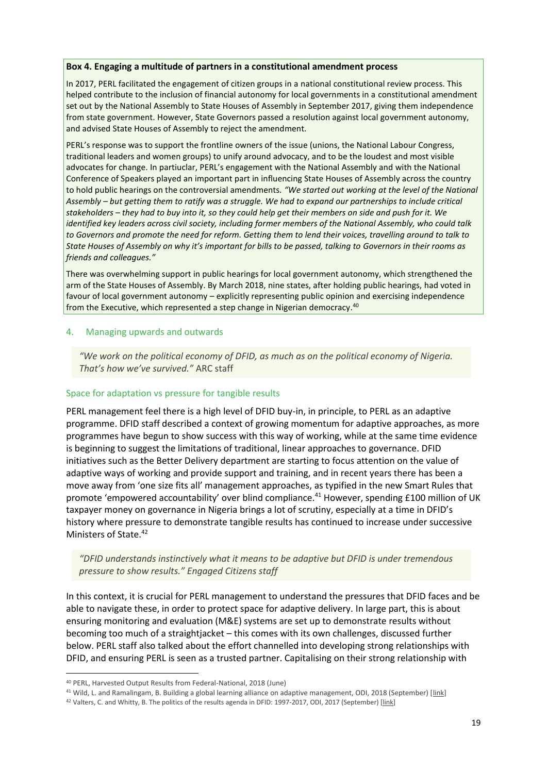#### **Box 4. Engaging a multitude of partners in a constitutional amendment process**

In 2017, PERL facilitated the engagement of citizen groups in a national constitutional review process. This helped contribute to the inclusion of financial autonomy for local governments in a constitutional amendment set out by the National Assembly to State Houses of Assembly in September 2017, giving them independence from state government. However, State Governors passed a resolution against local government autonomy, and advised State Houses of Assembly to reject the amendment.

PERL's response was to support the frontline owners of the issue (unions, the National Labour Congress, traditional leaders and women groups) to unify around advocacy, and to be the loudest and most visible advocates for change. In partiuclar, PERL's engagement with the National Assembly and with the National Conference of Speakers played an important part in influencing State Houses of Assembly across the country to hold public hearings on the controversial amendments*. "We started out working at the level of the National Assembly – but getting them to ratify was a struggle. We had to expand our partnerships to include critical stakeholders – they had to buy into it, so they could help get their members on side and push for it. We identified key leaders across civil society, including former members of the National Assembly, who could talk to Governors and promote the need for reform. Getting them to lend their voices, travelling around to talk to State Houses of Assembly on why it's important for bills to be passed, talking to Governors in their rooms as friends and colleagues."*

There was overwhelming support in public hearings for local government autonomy, which strengthened the arm of the State Houses of Assembly. By March 2018, nine states, after holding public hearings, had voted in favour of local government autonomy – explicitly representing public opinion and exercising independence from the Executive, which represented a step change in Nigerian democracy. 40

#### <span id="page-19-0"></span>4. Managing upwards and outwards

*"We work on the political economy of DFID, as much as on the political economy of Nigeria. That's how we've survived."* ARC staff

#### Space for adaptation vs pressure for tangible results

PERL management feel there is a high level of DFID buy-in, in principle, to PERL as an adaptive programme. DFID staff described a context of growing momentum for adaptive approaches, as more programmes have begun to show success with this way of working, while at the same time evidence is beginning to suggest the limitations of traditional, linear approaches to governance. DFID initiatives such as the Better Delivery department are starting to focus attention on the value of adaptive ways of working and provide support and training, and in recent years there has been a move away from 'one size fits all' management approaches, as typified in the new Smart Rules that promote 'empowered accountability' over blind compliance.<sup>41</sup> However, spending £100 million of UK taxpayer money on governance in Nigeria brings a lot of scrutiny, especially at a time in DFID's history where pressure to demonstrate tangible results has continued to increase under successive Ministers of State.<sup>42</sup>

*"DFID understands instinctively what it means to be adaptive but DFID is under tremendous pressure to show results." Engaged Citizens staff*

In this context, it is crucial for PERL management to understand the pressures that DFID faces and be able to navigate these, in order to protect space for adaptive delivery. In large part, this is about ensuring monitoring and evaluation (M&E) systems are set up to demonstrate results without becoming too much of a straightjacket – this comes with its own challenges, discussed further below. PERL staff also talked about the effort channelled into developing strong relationships with DFID, and ensuring PERL is seen as a trusted partner. Capitalising on their strong relationship with

 $\overline{a}$ 

<sup>40</sup> PERL, Harvested Output Results from Federal-National, 2018 (June)

<sup>&</sup>lt;sup>41</sup> Wild, L. and Ramalingam, B. Building a global learning alliance on adaptive management, ODI, 2018 (September) [\[link\]](https://www.odi.org/publications/11167-building-global-learning-alliance-adaptive-management)

<sup>&</sup>lt;sup>42</sup> Valters, C. and Whitty, B. The politics of the results agenda in DFID: 1997-2017, ODI, 2017 (September) [\[link\]](https://www.odi.org/sites/odi.org.uk/files/resource-documents/11730.pdf)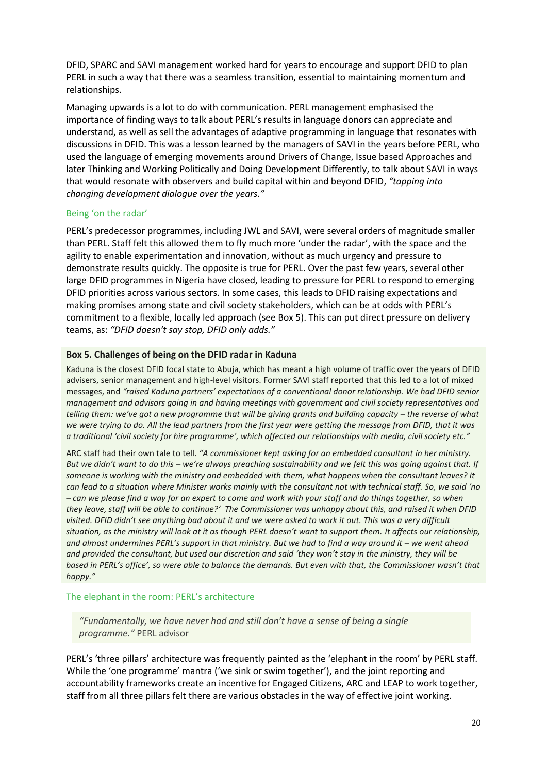DFID, SPARC and SAVI management worked hard for years to encourage and support DFID to plan PERL in such a way that there was a seamless transition, essential to maintaining momentum and relationships.

Managing upwards is a lot to do with communication. PERL management emphasised the importance of finding ways to talk about PERL's results in language donors can appreciate and understand, as well as sell the advantages of adaptive programming in language that resonates with discussions in DFID. This was a lesson learned by the managers of SAVI in the years before PERL, who used the language of emerging movements around Drivers of Change, Issue based Approaches and later Thinking and Working Politically and Doing Development Differently, to talk about SAVI in ways that would resonate with observers and build capital within and beyond DFID, *"tapping into changing development dialogue over the years."*

## Being 'on the radar'

PERL's predecessor programmes, including JWL and SAVI, were several orders of magnitude smaller than PERL. Staff felt this allowed them to fly much more 'under the radar', with the space and the agility to enable experimentation and innovation, without as much urgency and pressure to demonstrate results quickly. The opposite is true for PERL. Over the past few years, several other large DFID programmes in Nigeria have closed, leading to pressure for PERL to respond to emerging DFID priorities across various sectors. In some cases, this leads to DFID raising expectations and making promises among state and civil society stakeholders, which can be at odds with PERL's commitment to a flexible, locally led approach (see Box 5). This can put direct pressure on delivery teams, as: *"DFID doesn't say stop, DFID only adds."*

#### **Box 5. Challenges of being on the DFID radar in Kaduna**

Kaduna is the closest DFID focal state to Abuja, which has meant a high volume of traffic over the years of DFID advisers, senior management and high-level visitors. Former SAVI staff reported that this led to a lot of mixed messages, and *"raised Kaduna partners' expectations of a conventional donor relationship. We had DFID senior management and advisors going in and having meetings with government and civil society representatives and telling them: we've got a new programme that will be giving grants and building capacity – the reverse of what we were trying to do. All the lead partners from the first year were getting the message from DFID, that it was a traditional 'civil society for hire programme', which affected our relationships with media, civil society etc."*

ARC staff had their own tale to tell. *"A commissioner kept asking for an embedded consultant in her ministry. But we didn't want to do this – we're always preaching sustainability and we felt this was going against that. If someone is working with the ministry and embedded with them, what happens when the consultant leaves? It can lead to a situation where Minister works mainly with the consultant not with technical staff. So, we said 'no – can we please find a way for an expert to come and work with your staff and do things together, so when they leave, staff will be able to continue?' The Commissioner was unhappy about this, and raised it when DFID visited. DFID didn't see anything bad about it and we were asked to work it out. This was a very difficult situation, as the ministry will look at it as though PERL doesn't want to support them. It affects our relationship, and almost undermines PERL's support in that ministry. But we had to find a way around it – we went ahead and provided the consultant, but used our discretion and said 'they won't stay in the ministry, they will be based in PERL's office', so were able to balance the demands. But even with that, the Commissioner wasn't that happy."*

#### The elephant in the room: PERL's architecture

*"Fundamentally, we have never had and still don't have a sense of being a single programme."* PERL advisor

PERL's 'three pillars' architecture was frequently painted as the 'elephant in the room' by PERL staff. While the 'one programme' mantra ('we sink or swim together'), and the joint reporting and accountability frameworks create an incentive for Engaged Citizens, ARC and LEAP to work together, staff from all three pillars felt there are various obstacles in the way of effective joint working.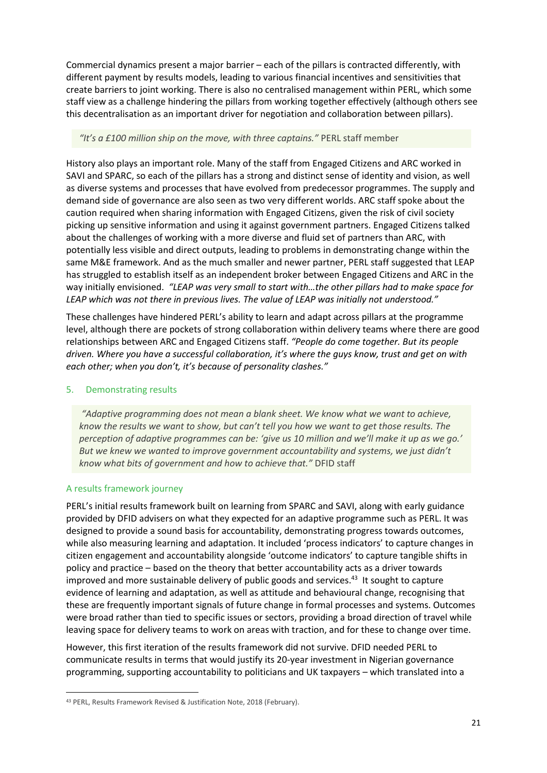Commercial dynamics present a major barrier – each of the pillars is contracted differently, with different payment by results models, leading to various financial incentives and sensitivities that create barriers to joint working. There is also no centralised management within PERL, which some staff view as a challenge hindering the pillars from working together effectively (although others see this decentralisation as an important driver for negotiation and collaboration between pillars).

## *"It's a £100 million ship on the move, with three captains."* PERL staff member

History also plays an important role. Many of the staff from Engaged Citizens and ARC worked in SAVI and SPARC, so each of the pillars has a strong and distinct sense of identity and vision, as well as diverse systems and processes that have evolved from predecessor programmes. The supply and demand side of governance are also seen as two very different worlds. ARC staff spoke about the caution required when sharing information with Engaged Citizens, given the risk of civil society picking up sensitive information and using it against government partners. Engaged Citizens talked about the challenges of working with a more diverse and fluid set of partners than ARC, with potentially less visible and direct outputs, leading to problems in demonstrating change within the same M&E framework. And as the much smaller and newer partner, PERL staff suggested that LEAP has struggled to establish itself as an independent broker between Engaged Citizens and ARC in the way initially envisioned. *"LEAP was very small to start with…the other pillars had to make space for LEAP which was not there in previous lives. The value of LEAP was initially not understood."*

These challenges have hindered PERL's ability to learn and adapt across pillars at the programme level, although there are pockets of strong collaboration within delivery teams where there are good relationships between ARC and Engaged Citizens staff. *"People do come together. But its people driven. Where you have a successful collaboration, it's where the guys know, trust and get on with each other; when you don't, it's because of personality clashes."* 

## <span id="page-21-0"></span>5. Demonstrating results

*"Adaptive programming does not mean a blank sheet. We know what we want to achieve, know the results we want to show, but can't tell you how we want to get those results. The perception of adaptive programmes can be: 'give us 10 million and we'll make it up as we go.' But we knew we wanted to improve government accountability and systems, we just didn't know what bits of government and how to achieve that."* DFID staff

## A results framework journey

**.** 

PERL's initial results framework built on learning from SPARC and SAVI, along with early guidance provided by DFID advisers on what they expected for an adaptive programme such as PERL. It was designed to provide a sound basis for accountability, demonstrating progress towards outcomes, while also measuring learning and adaptation. It included 'process indicators' to capture changes in citizen engagement and accountability alongside 'outcome indicators' to capture tangible shifts in policy and practice – based on the theory that better accountability acts as a driver towards improved and more sustainable delivery of public goods and services.<sup>43</sup> It sought to capture evidence of learning and adaptation, as well as attitude and behavioural change, recognising that these are frequently important signals of future change in formal processes and systems. Outcomes were broad rather than tied to specific issues or sectors, providing a broad direction of travel while leaving space for delivery teams to work on areas with traction, and for these to change over time.

However, this first iteration of the results framework did not survive. DFID needed PERL to communicate results in terms that would justify its 20-year investment in Nigerian governance programming, supporting accountability to politicians and UK taxpayers – which translated into a

<sup>43</sup> PERL, Results Framework Revised & Justification Note, 2018 (February).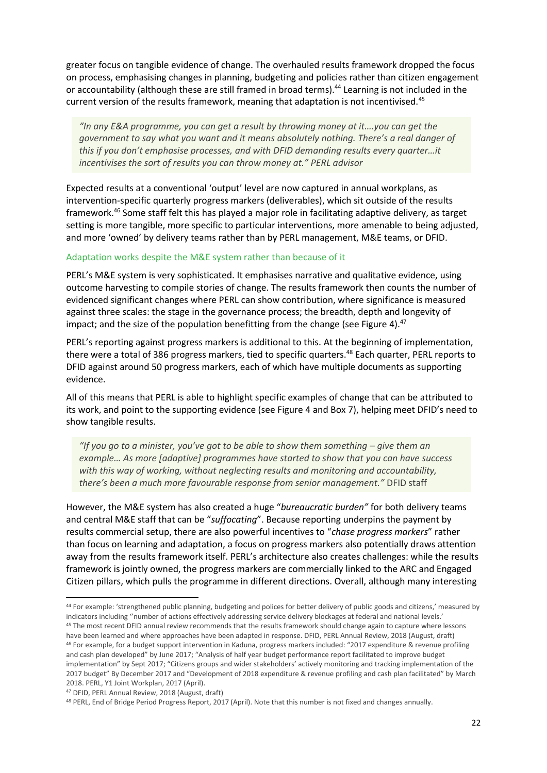greater focus on tangible evidence of change. The overhauled results framework dropped the focus on process, emphasising changes in planning, budgeting and policies rather than citizen engagement or accountability (although these are still framed in broad terms).<sup>44</sup> Learning is not included in the current version of the results framework, meaning that adaptation is not incentivised.<sup>45</sup>

*"In any E&A programme, you can get a result by throwing money at it….you can get the government to say what you want and it means absolutely nothing. There's a real danger of this if you don't emphasise processes, and with DFID demanding results every quarter…it incentivises the sort of results you can throw money at." PERL advisor*

Expected results at a conventional 'output' level are now captured in annual workplans, as intervention-specific quarterly progress markers (deliverables), which sit outside of the results framework. <sup>46</sup> Some staff felt this has played a major role in facilitating adaptive delivery, as target setting is more tangible, more specific to particular interventions, more amenable to being adjusted, and more 'owned' by delivery teams rather than by PERL management, M&E teams, or DFID.

#### Adaptation works despite the M&E system rather than because of it

PERL's M&E system is very sophisticated. It emphasises narrative and qualitative evidence, using outcome harvesting to compile stories of change. The results framework then counts the number of evidenced significant changes where PERL can show contribution, where significance is measured against three scales: the stage in the governance process; the breadth, depth and longevity of impact; and the size of the population benefitting from the change (see Figure 4). $47$ 

PERL's reporting against progress markers is additional to this. At the beginning of implementation, there were a total of 386 progress markers, tied to specific quarters.<sup>48</sup> Each quarter, PERL reports to DFID against around 50 progress markers, each of which have multiple documents as supporting evidence.

All of this means that PERL is able to highlight specific examples of change that can be attributed to its work, and point to the supporting evidence (see Figure 4 and Box 7), helping meet DFID's need to show tangible results.

*"If you go to a minister, you've got to be able to show them something – give them an example… As more [adaptive] programmes have started to show that you can have success with this way of working, without neglecting results and monitoring and accountability, there's been a much more favourable response from senior management."* DFID staff

However, the M&E system has also created a huge "*bureaucratic burden"* for both delivery teams and central M&E staff that can be "*suffocating*". Because reporting underpins the payment by results commercial setup, there are also powerful incentives to "*chase progress markers*" rather than focus on learning and adaptation, a focus on progress markers also potentially draws attention away from the results framework itself. PERL's architecture also creates challenges: while the results framework is jointly owned, the progress markers are commercially linked to the ARC and Engaged Citizen pillars, which pulls the programme in different directions. Overall, although many interesting

1

<sup>44</sup> For example: 'strengthened public planning, budgeting and polices for better delivery of public goods and citizens,' measured by indicators including ''number of actions effectively addressing service delivery blockages at federal and national levels.'

<sup>&</sup>lt;sup>45</sup> The most recent DFID annual review recommends that the results framework should change again to capture where lessons have been learned and where approaches have been adapted in response. DFID, PERL Annual Review, 2018 (August, draft) <sup>46</sup> For example, for a budget support intervention in Kaduna, progress markers included: "2017 expenditure & revenue profiling and cash plan developed" by June 2017; "Analysis of half year budget performance report facilitated to improve budget implementation" by Sept 2017; "Citizens groups and wider stakeholders' actively monitoring and tracking implementation of the 2017 budget" By December 2017 and "Development of 2018 expenditure & revenue profiling and cash plan facilitated" by March 2018. PERL, Y1 Joint Workplan, 2017 (April).

<sup>47</sup> DFID, PERL Annual Review, 2018 (August, draft)

<sup>48</sup> PERL, End of Bridge Period Progress Report, 2017 (April). Note that this number is not fixed and changes annually.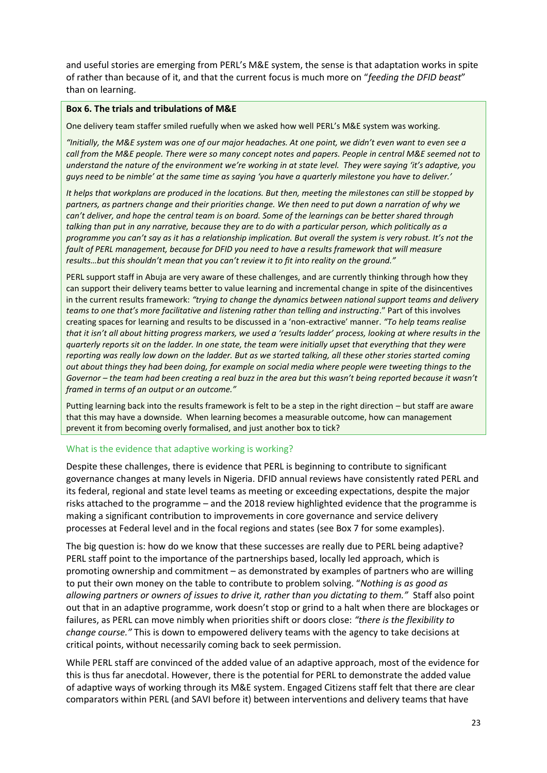and useful stories are emerging from PERL's M&E system, the sense is that adaptation works in spite of rather than because of it, and that the current focus is much more on "*feeding the DFID beast*" than on learning.

#### **Box 6. The trials and tribulations of M&E**

One delivery team staffer smiled ruefully when we asked how well PERL's M&E system was working.

*"Initially, the M&E system was one of our major headaches. At one point, we didn't even want to even see a call from the M&E people. There were so many concept notes and papers. People in central M&E seemed not to understand the nature of the environment we're working in at state level. They were saying 'it's adaptive, you guys need to be nimble' at the same time as saying 'you have a quarterly milestone you have to deliver.'*

*It helps that workplans are produced in the locations. But then, meeting the milestones can still be stopped by partners, as partners change and their priorities change. We then need to put down a narration of why we can't deliver, and hope the central team is on board. Some of the learnings can be better shared through talking than put in any narrative, because they are to do with a particular person, which politically as a programme you can't say as it has a relationship implication. But overall the system is very robust. It's not the fault of PERL management, because for DFID you need to have a results framework that will measure results…but this shouldn't mean that you can't review it to fit into reality on the ground."*

PERL support staff in Abuja are very aware of these challenges, and are currently thinking through how they can support their delivery teams better to value learning and incremental change in spite of the disincentives in the current results framework: *"trying to change the dynamics between national support teams and delivery teams to one that's more facilitative and listening rather than telling and instructing*." Part of this involves creating spaces for learning and results to be discussed in a 'non-extractive' manner. *"To help teams realise that it isn't all about hitting progress markers, we used a 'results ladder' process, looking at where results in the quarterly reports sit on the ladder. In one state, the team were initially upset that everything that they were reporting was really low down on the ladder. But as we started talking, all these other stories started coming out about things they had been doing, for example on social media where people were tweeting things to the Governor – the team had been creating a real buzz in the area but this wasn't being reported because it wasn't framed in terms of an output or an outcome."* 

Putting learning back into the results framework is felt to be a step in the right direction – but staff are aware that this may have a downside. When learning becomes a measurable outcome, how can management prevent it from becoming overly formalised, and just another box to tick?

## What is the evidence that adaptive working is working?

Despite these challenges, there is evidence that PERL is beginning to contribute to significant governance changes at many levels in Nigeria. DFID annual reviews have consistently rated PERL and its federal, regional and state level teams as meeting or exceeding expectations, despite the major risks attached to the programme – and the 2018 review highlighted evidence that the programme is making a significant contribution to improvements in core governance and service delivery processes at Federal level and in the focal regions and states (see Box 7 for some examples).

The big question is: how do we know that these successes are really due to PERL being adaptive? PERL staff point to the importance of the partnerships based, locally led approach, which is promoting ownership and commitment – as demonstrated by examples of partners who are willing to put their own money on the table to contribute to problem solving. "*Nothing is as good as allowing partners or owners of issues to drive it, rather than you dictating to them."* Staff also point out that in an adaptive programme, work doesn't stop or grind to a halt when there are blockages or failures, as PERL can move nimbly when priorities shift or doors close: *"there is the flexibility to change course."* This is down to empowered delivery teams with the agency to take decisions at critical points, without necessarily coming back to seek permission.

While PERL staff are convinced of the added value of an adaptive approach, most of the evidence for this is thus far anecdotal. However, there is the potential for PERL to demonstrate the added value of adaptive ways of working through its M&E system. Engaged Citizens staff felt that there are clear comparators within PERL (and SAVI before it) between interventions and delivery teams that have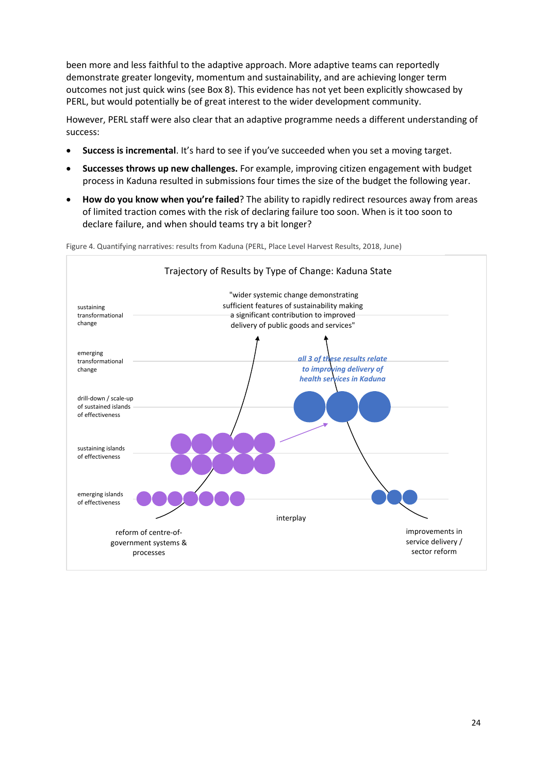been more and less faithful to the adaptive approach. More adaptive teams can reportedly demonstrate greater longevity, momentum and sustainability, and are achieving longer term outcomes not just quick wins (see Box 8). This evidence has not yet been explicitly showcased by PERL, but would potentially be of great interest to the wider development community.

However, PERL staff were also clear that an adaptive programme needs a different understanding of success:

- **Success is incremental**. It's hard to see if you've succeeded when you set a moving target.
- **Successes throws up new challenges.** For example, improving citizen engagement with budget process in Kaduna resulted in submissions four times the size of the budget the following year.
- **How do you know when you're failed**? The ability to rapidly redirect resources away from areas of limited traction comes with the risk of declaring failure too soon. When is it too soon to declare failure, and when should teams try a bit longer?

Figure 4. Quantifying narratives: results from Kaduna (PERL, Place Level Harvest Results, 2018, June)

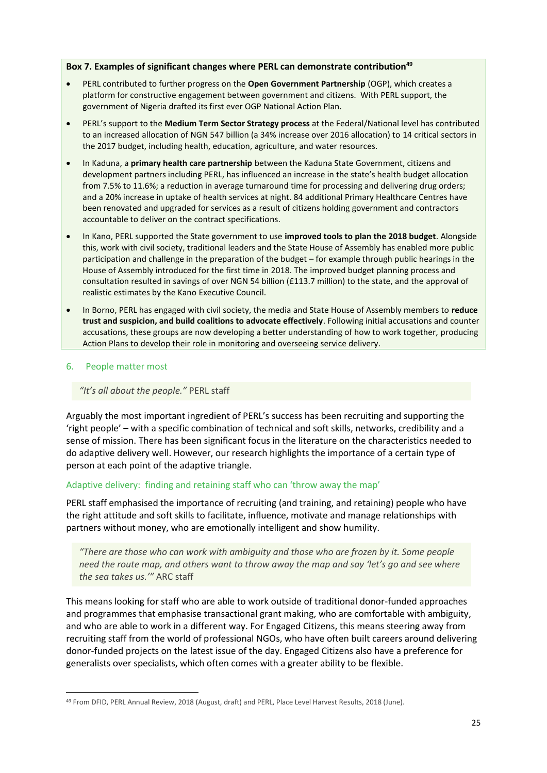#### **Box 7. Examples of significant changes where PERL can demonstrate contribution<sup>49</sup>**

- PERL contributed to further progress on the **Open Government Partnership** (OGP), which creates a platform for constructive engagement between government and citizens. With PERL support, the government of Nigeria drafted its first ever OGP National Action Plan.
- PERL's support to the **Medium Term Sector Strategy process** at the Federal/National level has contributed to an increased allocation of NGN 547 billion (a 34% increase over 2016 allocation) to 14 critical sectors in the 2017 budget, including health, education, agriculture, and water resources.
- In Kaduna, a **primary health care partnership** between the Kaduna State Government, citizens and development partners including PERL, has influenced an increase in the state's health budget allocation from 7.5% to 11.6%; a reduction in average turnaround time for processing and delivering drug orders; and a 20% increase in uptake of health services at night. 84 additional Primary Healthcare Centres have been renovated and upgraded for services as a result of citizens holding government and contractors accountable to deliver on the contract specifications.
- In Kano, PERL supported the State government to use **improved tools to plan the 2018 budget**. Alongside this, work with civil society, traditional leaders and the State House of Assembly has enabled more public participation and challenge in the preparation of the budget – for example through public hearings in the House of Assembly introduced for the first time in 2018. The improved budget planning process and consultation resulted in savings of over NGN 54 billion (£113.7 million) to the state, and the approval of realistic estimates by the Kano Executive Council.
- In Borno, PERL has engaged with civil society, the media and State House of Assembly members to **reduce trust and suspicion, and build coalitions to advocate effectively**. Following initial accusations and counter accusations, these groups are now developing a better understanding of how to work together, producing Action Plans to develop their role in monitoring and overseeing service delivery.

## <span id="page-25-0"></span>6. People matter most

## *"It's all about the people."* PERL staff

Arguably the most important ingredient of PERL's success has been recruiting and supporting the 'right people' – with a specific combination of technical and soft skills, networks, credibility and a sense of mission. There has been significant focus in the literature on the characteristics needed to do adaptive delivery well. However, our research highlights the importance of a certain type of person at each point of the adaptive triangle.

## Adaptive delivery: finding and retaining staff who can 'throw away the map'

PERL staff emphasised the importance of recruiting (and training, and retaining) people who have the right attitude and soft skills to facilitate, influence, motivate and manage relationships with partners without money, who are emotionally intelligent and show humility.

*"There are those who can work with ambiguity and those who are frozen by it. Some people need the route map, and others want to throw away the map and say 'let's go and see where the sea takes us.'"* ARC staff

This means looking for staff who are able to work outside of traditional donor-funded approaches and programmes that emphasise transactional grant making, who are comfortable with ambiguity, and who are able to work in a different way. For Engaged Citizens, this means steering away from recruiting staff from the world of professional NGOs, who have often built careers around delivering donor-funded projects on the latest issue of the day. Engaged Citizens also have a preference for generalists over specialists, which often comes with a greater ability to be flexible.

**<sup>.</sup>** <sup>49</sup> From DFID, PERL Annual Review, 2018 (August, draft) and PERL, Place Level Harvest Results, 2018 (June).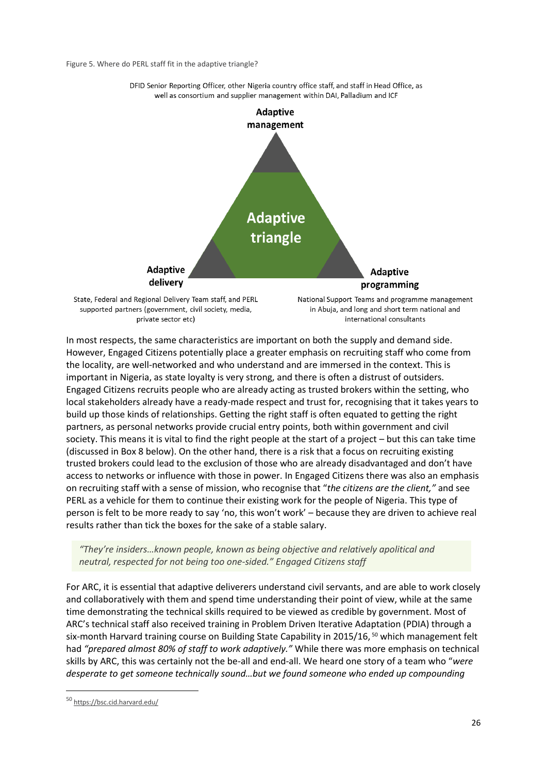Figure 5. Where do PERL staff fit in the adaptive triangle?



DFID Senior Reporting Officer, other Nigeria country office staff, and staff in Head Office, as well as consortium and supplier management within DAI, Palladium and ICF

In most respects, the same characteristics are important on both the supply and demand side. However, Engaged Citizens potentially place a greater emphasis on recruiting staff who come from the locality, are well-networked and who understand and are immersed in the context. This is important in Nigeria, as state loyalty is very strong, and there is often a distrust of outsiders. Engaged Citizens recruits people who are already acting as trusted brokers within the setting, who local stakeholders already have a ready-made respect and trust for, recognising that it takes years to build up those kinds of relationships. Getting the right staff is often equated to getting the right partners, as personal networks provide crucial entry points, both within government and civil society. This means it is vital to find the right people at the start of a project – but this can take time (discussed in Box 8 below). On the other hand, there is a risk that a focus on recruiting existing trusted brokers could lead to the exclusion of those who are already disadvantaged and don't have access to networks or influence with those in power. In Engaged Citizens there was also an emphasis on recruiting staff with a sense of mission, who recognise that "*the citizens are the client,"* and see PERL as a vehicle for them to continue their existing work for the people of Nigeria. This type of person is felt to be more ready to say 'no, this won't work' – because they are driven to achieve real results rather than tick the boxes for the sake of a stable salary.

## *"They're insiders…known people, known as being objective and relatively apolitical and neutral, respected for not being too one-sided." Engaged Citizens staff*

For ARC, it is essential that adaptive deliverers understand civil servants, and are able to work closely and collaboratively with them and spend time understanding their point of view, while at the same time demonstrating the technical skills required to be viewed as credible by government. Most of ARC's technical staff also received training in Problem Driven Iterative Adaptation (PDIA) through a six-month Harvard training course on Building State Capability in 2015/16,  $50$  which management felt had *"prepared almost 80% of staff to work adaptively."* While there was more emphasis on technical skills by ARC, this was certainly not the be-all and end-all. We heard one story of a team who "*were desperate to get someone technically sound…but we found someone who ended up compounding* 

**.** 

<sup>50</sup> <https://bsc.cid.harvard.edu/>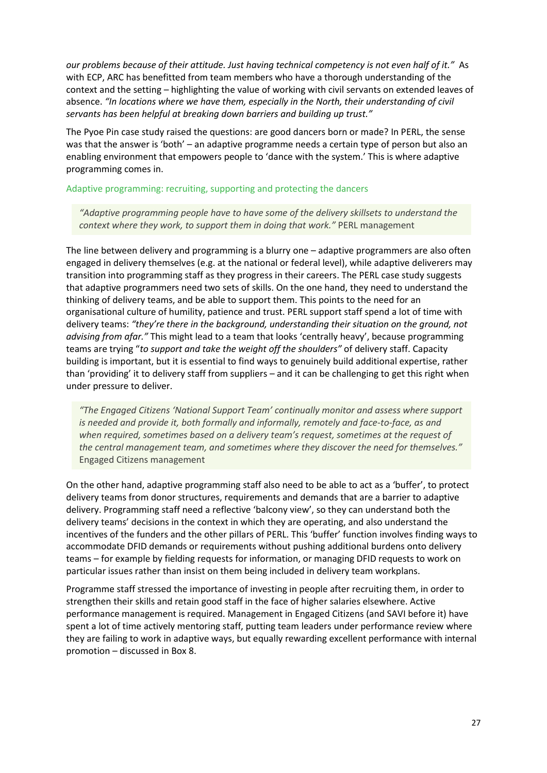*our problems because of their attitude. Just having technical competency is not even half of it."* As with ECP, ARC has benefitted from team members who have a thorough understanding of the context and the setting – highlighting the value of working with civil servants on extended leaves of absence. *"In locations where we have them, especially in the North, their understanding of civil servants has been helpful at breaking down barriers and building up trust."*

The Pyoe Pin case study raised the questions: are good dancers born or made? In PERL, the sense was that the answer is 'both' – an adaptive programme needs a certain type of person but also an enabling environment that empowers people to 'dance with the system.' This is where adaptive programming comes in.

#### Adaptive programming: recruiting, supporting and protecting the dancers

*"Adaptive programming people have to have some of the delivery skillsets to understand the context where they work, to support them in doing that work."* PERL management

The line between delivery and programming is a blurry one – adaptive programmers are also often engaged in delivery themselves (e.g. at the national or federal level), while adaptive deliverers may transition into programming staff as they progress in their careers. The PERL case study suggests that adaptive programmers need two sets of skills. On the one hand, they need to understand the thinking of delivery teams, and be able to support them. This points to the need for an organisational culture of humility, patience and trust. PERL support staff spend a lot of time with delivery teams: *"they're there in the background, understanding their situation on the ground, not advising from afar."* This might lead to a team that looks 'centrally heavy', because programming teams are trying "*to support and take the weight off the shoulders"* of delivery staff. Capacity building is important, but it is essential to find ways to genuinely build additional expertise, rather than 'providing' it to delivery staff from suppliers – and it can be challenging to get this right when under pressure to deliver.

*"The Engaged Citizens 'National Support Team' continually monitor and assess where support is needed and provide it, both formally and informally, remotely and face-to-face, as and when required, sometimes based on a delivery team's request, sometimes at the request of the central management team, and sometimes where they discover the need for themselves."*  Engaged Citizens management

On the other hand, adaptive programming staff also need to be able to act as a 'buffer', to protect delivery teams from donor structures, requirements and demands that are a barrier to adaptive delivery. Programming staff need a reflective 'balcony view', so they can understand both the delivery teams' decisions in the context in which they are operating, and also understand the incentives of the funders and the other pillars of PERL. This 'buffer' function involves finding ways to accommodate DFID demands or requirements without pushing additional burdens onto delivery teams – for example by fielding requests for information, or managing DFID requests to work on particular issues rather than insist on them being included in delivery team workplans.

Programme staff stressed the importance of investing in people after recruiting them, in order to strengthen their skills and retain good staff in the face of higher salaries elsewhere. Active performance management is required. Management in Engaged Citizens (and SAVI before it) have spent a lot of time actively mentoring staff, putting team leaders under performance review where they are failing to work in adaptive ways, but equally rewarding excellent performance with internal promotion – discussed in Box 8.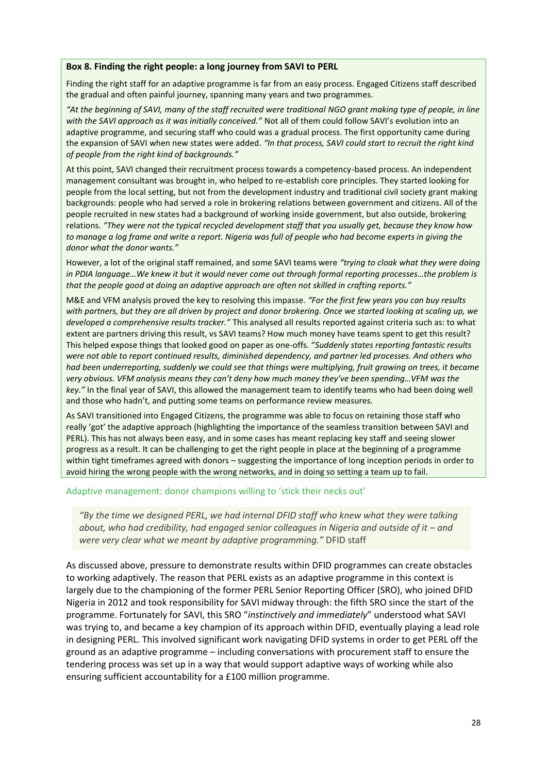#### **Box 8. Finding the right people: a long journey from SAVI to PERL**

Finding the right staff for an adaptive programme is far from an easy process. Engaged Citizens staff described the gradual and often painful journey, spanning many years and two programmes.

*"At the beginning of SAVI, many of the staff recruited were traditional NGO grant making type of people, in line with the SAVI approach as it was initially conceived."* Not all of them could follow SAVI's evolution into an adaptive programme, and securing staff who could was a gradual process. The first opportunity came during the expansion of SAVI when new states were added. *"In that process, SAVI could start to recruit the right kind of people from the right kind of backgrounds."*

At this point, SAVI changed their recruitment process towards a competency-based process. An independent management consultant was brought in, who helped to re-establish core principles. They started looking for people from the local setting, but not from the development industry and traditional civil society grant making backgrounds: people who had served a role in brokering relations between government and citizens. All of the people recruited in new states had a background of working inside government, but also outside, brokering relations. *"They were not the typical recycled development staff that you usually get, because they know how to manage a log frame and write a report. Nigeria was full of people who had become experts in giving the donor what the donor wants."*

However, a lot of the original staff remained, and some SAVI teams were *"trying to cloak what they were doing in PDIA language…We knew it but it would never come out through formal reporting processes…the problem is that the people good at doing an adaptive approach are often not skilled in crafting reports."* 

M&E and VFM analysis proved the key to resolving this impasse. *"For the first few years you can buy results with partners, but they are all driven by project and donor brokering. Once we started looking at scaling up, we developed a comprehensive results tracker."* This analysed all results reported against criteria such as: to what extent are partners driving this result, vs SAVI teams? How much money have teams spent to get this result? This helped expose things that looked good on paper as one-offs. "*Suddenly states reporting fantastic results were not able to report continued results, diminished dependency, and partner led processes. And others who had been underreporting, suddenly we could see that things were multiplying, fruit growing on trees, it became very obvious. VFM analysis means they can't deny how much money they've been spending…VFM was the key."* In the final year of SAVI, this allowed the management team to identify teams who had been doing well and those who hadn't, and putting some teams on performance review measures.

As SAVI transitioned into Engaged Citizens, the programme was able to focus on retaining those staff who really 'got' the adaptive approach (highlighting the importance of the seamless transition between SAVI and PERL). This has not always been easy, and in some cases has meant replacing key staff and seeing slower progress as a result. It can be challenging to get the right people in place at the beginning of a programme within tight timeframes agreed with donors – suggesting the importance of long inception periods in order to avoid hiring the wrong people with the wrong networks, and in doing so setting a team up to fail.

Adaptive management: donor champions willing to 'stick their necks out'

*"By the time we designed PERL, we had internal DFID staff who knew what they were talking about, who had credibility, had engaged senior colleagues in Nigeria and outside of it – and were very clear what we meant by adaptive programming."* DFID staff

As discussed above, pressure to demonstrate results within DFID programmes can create obstacles to working adaptively. The reason that PERL exists as an adaptive programme in this context is largely due to the championing of the former PERL Senior Reporting Officer (SRO), who joined DFID Nigeria in 2012 and took responsibility for SAVI midway through: the fifth SRO since the start of the programme. Fortunately for SAVI, this SRO "*instinctively and immediately*" understood what SAVI was trying to, and became a key champion of its approach within DFID, eventually playing a lead role in designing PERL. This involved significant work navigating DFID systems in order to get PERL off the ground as an adaptive programme – including conversations with procurement staff to ensure the tendering process was set up in a way that would support adaptive ways of working while also ensuring sufficient accountability for a £100 million programme.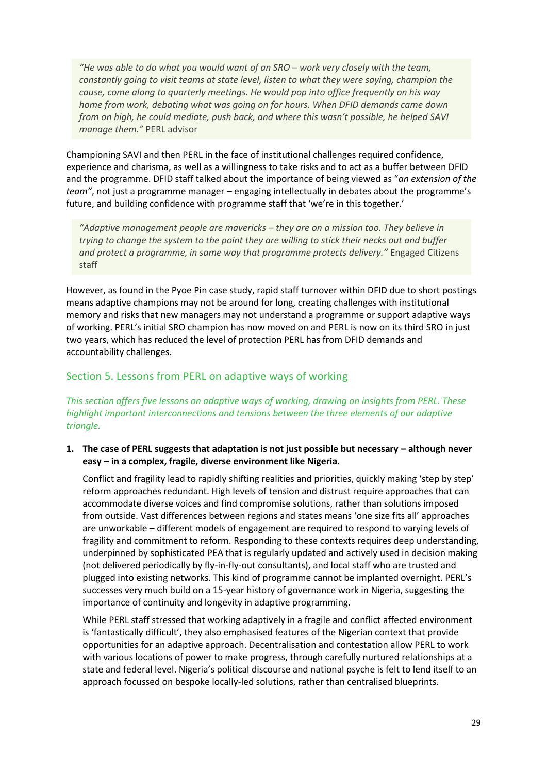*"He was able to do what you would want of an SRO – work very closely with the team, constantly going to visit teams at state level, listen to what they were saying, champion the cause, come along to quarterly meetings. He would pop into office frequently on his way home from work, debating what was going on for hours. When DFID demands came down from on high, he could mediate, push back, and where this wasn't possible, he helped SAVI manage them."* PERL advisor

Championing SAVI and then PERL in the face of institutional challenges required confidence, experience and charisma, as well as a willingness to take risks and to act as a buffer between DFID and the programme. DFID staff talked about the importance of being viewed as "*an extension of the team"*, not just a programme manager – engaging intellectually in debates about the programme's future, and building confidence with programme staff that 'we're in this together.'

*"Adaptive management people are mavericks – they are on a mission too. They believe in trying to change the system to the point they are willing to stick their necks out and buffer and protect a programme, in same way that programme protects delivery."* Engaged Citizens staff

However, as found in the Pyoe Pin case study, rapid staff turnover within DFID due to short postings means adaptive champions may not be around for long, creating challenges with institutional memory and risks that new managers may not understand a programme or support adaptive ways of working. PERL's initial SRO champion has now moved on and PERL is now on its third SRO in just two years, which has reduced the level of protection PERL has from DFID demands and accountability challenges.

## <span id="page-29-0"></span>Section 5. Lessons from PERL on adaptive ways of working

*This section offers five lessons on adaptive ways of working, drawing on insights from PERL. These highlight important interconnections and tensions between the three elements of our adaptive triangle.*

**1. The case of PERL suggests that adaptation is not just possible but necessary – although never easy – in a complex, fragile, diverse environment like Nigeria.** 

Conflict and fragility lead to rapidly shifting realities and priorities, quickly making 'step by step' reform approaches redundant. High levels of tension and distrust require approaches that can accommodate diverse voices and find compromise solutions, rather than solutions imposed from outside. Vast differences between regions and states means 'one size fits all' approaches are unworkable – different models of engagement are required to respond to varying levels of fragility and commitment to reform. Responding to these contexts requires deep understanding, underpinned by sophisticated PEA that is regularly updated and actively used in decision making (not delivered periodically by fly-in-fly-out consultants), and local staff who are trusted and plugged into existing networks. This kind of programme cannot be implanted overnight. PERL's successes very much build on a 15-year history of governance work in Nigeria, suggesting the importance of continuity and longevity in adaptive programming.

While PERL staff stressed that working adaptively in a fragile and conflict affected environment is 'fantastically difficult', they also emphasised features of the Nigerian context that provide opportunities for an adaptive approach. Decentralisation and contestation allow PERL to work with various locations of power to make progress, through carefully nurtured relationships at a state and federal level. Nigeria's political discourse and national psyche is felt to lend itself to an approach focussed on bespoke locally-led solutions, rather than centralised blueprints.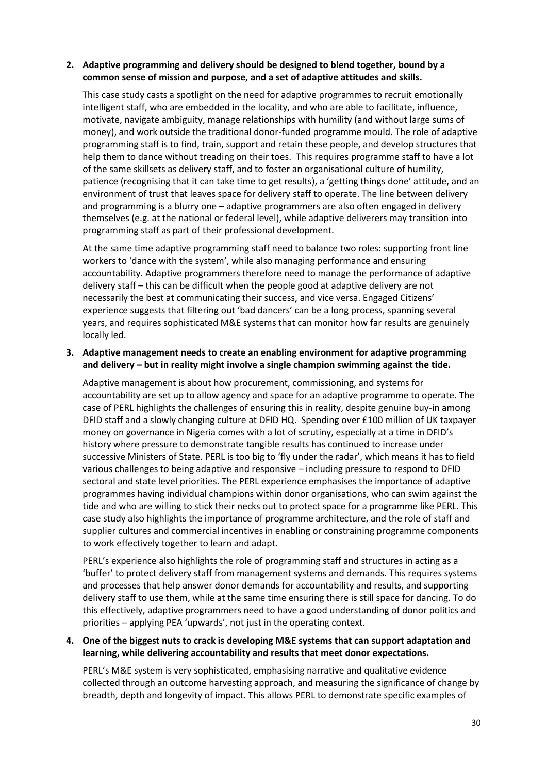## **2. Adaptive programming and delivery should be designed to blend together, bound by a common sense of mission and purpose, and a set of adaptive attitudes and skills.**

This case study casts a spotlight on the need for adaptive programmes to recruit emotionally intelligent staff, who are embedded in the locality, and who are able to facilitate, influence, motivate, navigate ambiguity, manage relationships with humility (and without large sums of money), and work outside the traditional donor-funded programme mould. The role of adaptive programming staff is to find, train, support and retain these people, and develop structures that help them to dance without treading on their toes. This requires programme staff to have a lot of the same skillsets as delivery staff, and to foster an organisational culture of humility, patience (recognising that it can take time to get results), a 'getting things done' attitude, and an environment of trust that leaves space for delivery staff to operate. The line between delivery and programming is a blurry one – adaptive programmers are also often engaged in delivery themselves (e.g. at the national or federal level), while adaptive deliverers may transition into programming staff as part of their professional development.

At the same time adaptive programming staff need to balance two roles: supporting front line workers to 'dance with the system', while also managing performance and ensuring accountability. Adaptive programmers therefore need to manage the performance of adaptive delivery staff – this can be difficult when the people good at adaptive delivery are not necessarily the best at communicating their success, and vice versa. Engaged Citizens' experience suggests that filtering out 'bad dancers' can be a long process, spanning several years, and requires sophisticated M&E systems that can monitor how far results are genuinely locally led.

## **3. Adaptive management needs to create an enabling environment for adaptive programming and delivery – but in reality might involve a single champion swimming against the tide.**

Adaptive management is about how procurement, commissioning, and systems for accountability are set up to allow agency and space for an adaptive programme to operate. The case of PERL highlights the challenges of ensuring this in reality, despite genuine buy-in among DFID staff and a slowly changing culture at DFID HQ. Spending over £100 million of UK taxpayer money on governance in Nigeria comes with a lot of scrutiny, especially at a time in DFID's history where pressure to demonstrate tangible results has continued to increase under successive Ministers of State. PERL is too big to 'fly under the radar', which means it has to field various challenges to being adaptive and responsive – including pressure to respond to DFID sectoral and state level priorities. The PERL experience emphasises the importance of adaptive programmes having individual champions within donor organisations, who can swim against the tide and who are willing to stick their necks out to protect space for a programme like PERL. This case study also highlights the importance of programme architecture, and the role of staff and supplier cultures and commercial incentives in enabling or constraining programme components to work effectively together to learn and adapt.

PERL's experience also highlights the role of programming staff and structures in acting as a 'buffer' to protect delivery staff from management systems and demands. This requires systems and processes that help answer donor demands for accountability and results, and supporting delivery staff to use them, while at the same time ensuring there is still space for dancing. To do this effectively, adaptive programmers need to have a good understanding of donor politics and priorities – applying PEA 'upwards', not just in the operating context.

## **4. One of the biggest nuts to crack is developing M&E systems that can support adaptation and learning, while delivering accountability and results that meet donor expectations.**

PERL's M&E system is very sophisticated, emphasising narrative and qualitative evidence collected through an outcome harvesting approach, and measuring the significance of change by breadth, depth and longevity of impact. This allows PERL to demonstrate specific examples of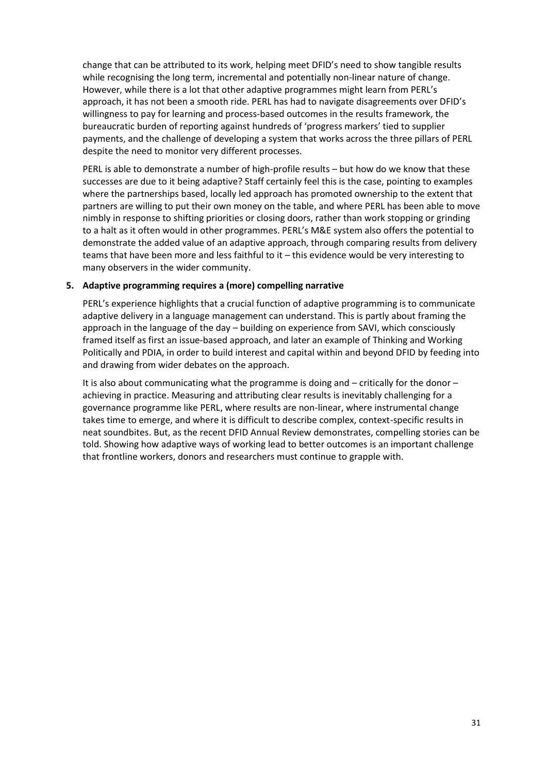change that can be attributed to its work, helping meet DFID's need to show tangible results while recognising the long term, incremental and potentially non-linear nature of change. However, while there is a lot that other adaptive programmes might learn from PERL's approach, it has not been a smooth ride. PERL has had to navigate disagreements over DFID's willingness to pay for learning and process-based outcomes in the results framework, the bureaucratic burden of reporting against hundreds of 'progress markers' tied to supplier payments, and the challenge of developing a system that works across the three pillars of PERL despite the need to monitor very different processes.

PERL is able to demonstrate a number of high-profile results – but how do we know that these successes are due to it being adaptive? Staff certainly feel this is the case, pointing to examples where the partnerships based, locally led approach has promoted ownership to the extent that partners are willing to put their own money on the table, and where PERL has been able to move nimbly in response to shifting priorities or closing doors, rather than work stopping or grinding to a halt as it often would in other programmes. PERL's M&E system also offers the potential to demonstrate the added value of an adaptive approach, through comparing results from delivery teams that have been more and less faithful to it – this evidence would be very interesting to many observers in the wider community.

## **5. Adaptive programming requires a (more) compelling narrative**

PERL's experience highlights that a crucial function of adaptive programming is to communicate adaptive delivery in a language management can understand. This is partly about framing the approach in the language of the day – building on experience from SAVI, which consciously framed itself as first an issue-based approach, and later an example of Thinking and Working Politically and PDIA, in order to build interest and capital within and beyond DFID by feeding into and drawing from wider debates on the approach.

It is also about communicating what the programme is doing and – critically for the donor – achieving in practice. Measuring and attributing clear results is inevitably challenging for a governance programme like PERL, where results are non-linear, where instrumental change takes time to emerge, and where it is difficult to describe complex, context-specific results in neat soundbites. But, as the recent DFID Annual Review demonstrates, compelling stories can be told. Showing how adaptive ways of working lead to better outcomes is an important challenge that frontline workers, donors and researchers must continue to grapple with.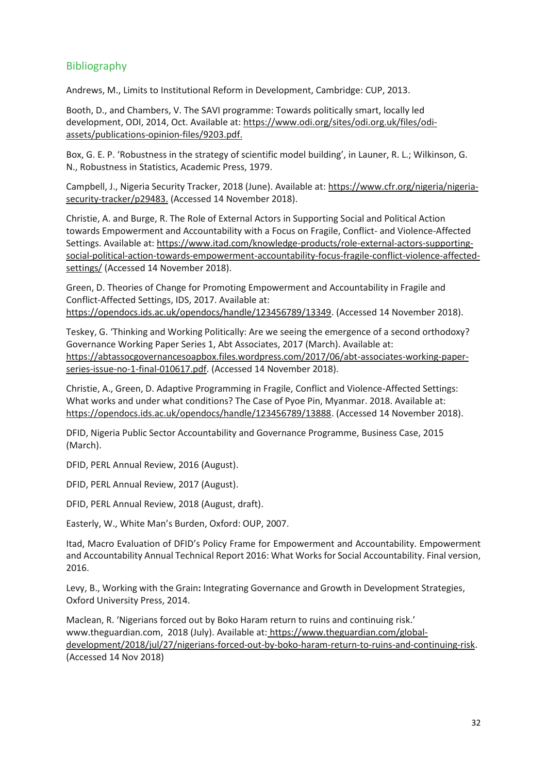## <span id="page-32-0"></span>Bibliography

Andrews, M., Limits to Institutional Reform in Development, Cambridge: CUP, 2013.

Booth, D., and Chambers, V. The SAVI programme: Towards politically smart, locally led development, ODI, 2014, Oct. Available at: [https://www.odi.org/sites/odi.org.uk/files/odi](https://www.odi.org/sites/odi.org.uk/files/odi-assets/publications-opinion-files/9203.pdf)[assets/publications-opinion-files/9203.pdf.](https://www.odi.org/sites/odi.org.uk/files/odi-assets/publications-opinion-files/9203.pdf)

Box, G. E. P. 'Robustness in the strategy of scientific model building', in Launer, R. L.; Wilkinson, G. N., Robustness in Statistics, Academic Press, 1979.

Campbell, J., Nigeria Security Tracker, 2018 (June). Available at: [https://www.cfr.org/nigeria/nigeria](https://www.cfr.org/nigeria/nigeria-security-tracker/p29483)[security-tracker/p29483.](https://www.cfr.org/nigeria/nigeria-security-tracker/p29483) (Accessed 14 November 2018).

Christie, A. and Burge, R. The Role of External Actors in Supporting Social and Political Action towards Empowerment and Accountability with a Focus on Fragile, Conflict- and Violence-Affected Settings. Available at[: https://www.itad.com/knowledge-products/role-external-actors-supporting](https://www.itad.com/knowledge-products/role-external-actors-supporting-social-political-action-towards-empowerment-accountability-focus-fragile-conflict-violence-affected-settings/)[social-political-action-towards-empowerment-accountability-focus-fragile-conflict-violence-affected](https://www.itad.com/knowledge-products/role-external-actors-supporting-social-political-action-towards-empowerment-accountability-focus-fragile-conflict-violence-affected-settings/)[settings/](https://www.itad.com/knowledge-products/role-external-actors-supporting-social-political-action-towards-empowerment-accountability-focus-fragile-conflict-violence-affected-settings/) (Accessed 14 November 2018).

Green, D. Theories of Change for Promoting Empowerment and Accountability in Fragile and Conflict-Affected Settings, IDS, 2017. Available at: [https://opendocs.ids.ac.uk/opendocs/handle/123456789/13349.](https://opendocs.ids.ac.uk/opendocs/handle/123456789/13349) (Accessed 14 November 2018).

Teskey, G. 'Thinking and Working Politically: Are we seeing the emergence of a second orthodoxy? Governance Working Paper Series 1, Abt Associates, 2017 (March). Available at: [https://abtassocgovernancesoapbox.files.wordpress.com/2017/06/abt-associates-working-paper](https://abtassocgovernancesoapbox.files.wordpress.com/2017/06/abt-associates-working-paper-series-issue-no-1-final-010617.pdf)[series-issue-no-1-final-010617.pdf.](https://abtassocgovernancesoapbox.files.wordpress.com/2017/06/abt-associates-working-paper-series-issue-no-1-final-010617.pdf) (Accessed 14 November 2018).

Christie, A., Green, D. Adaptive Programming in Fragile, Conflict and Violence-Affected Settings: What works and under what conditions? The Case of Pyoe Pin, Myanmar. 2018. Available at: [https://opendocs.ids.ac.uk/opendocs/handle/123456789/13888.](https://opendocs.ids.ac.uk/opendocs/handle/123456789/13888) (Accessed 14 November 2018).

DFID, Nigeria Public Sector Accountability and Governance Programme, Business Case, 2015 (March).

DFID, PERL Annual Review, 2016 (August).

DFID, PERL Annual Review, 2017 (August).

DFID, PERL Annual Review, 2018 (August, draft).

Easterly, W., White Man's Burden, Oxford: OUP, 2007.

Itad, Macro Evaluation of DFID's Policy Frame for Empowerment and Accountability. Empowerment and Accountability Annual Technical Report 2016: What Works for Social Accountability. Final version, 2016.

Levy, B., Working with the Grain**:** Integrating Governance and Growth in Development Strategies, Oxford University Press, 2014.

Maclean, R. 'Nigerians forced out by Boko Haram return to ruins and continuing risk.' [www.theguardian.com,](http://www.theguardian.com/) 2018 (July). Available at: [https://www.theguardian.com/global](https://www.theguardian.com/global-development/2018/jul/27/nigerians-forced-out-by-boko-haram-return-to-ruins-and-continuing-risk)[development/2018/jul/27/nigerians-forced-out-by-boko-haram-return-to-ruins-and-continuing-risk.](https://www.theguardian.com/global-development/2018/jul/27/nigerians-forced-out-by-boko-haram-return-to-ruins-and-continuing-risk) (Accessed 14 Nov 2018)